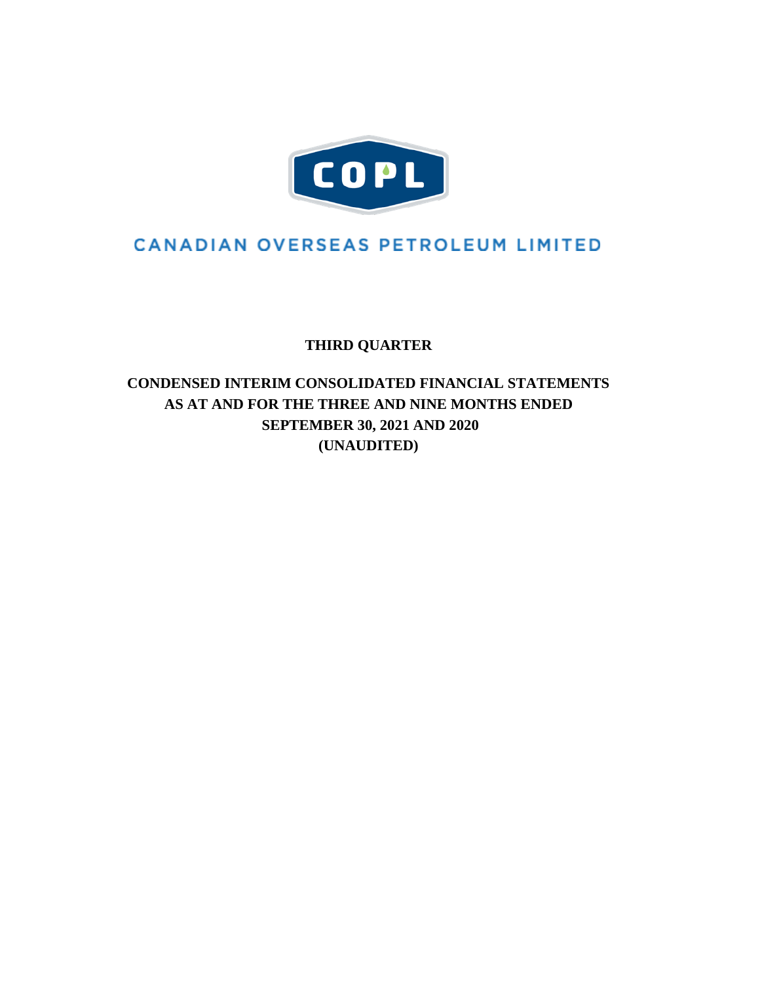

# **CANADIAN OVERSEAS PETROLEUM LIMITED**

**THIRD QUARTER**

# **CONDENSED INTERIM CONSOLIDATED FINANCIAL STATEMENTS AS AT AND FOR THE THREE AND NINE MONTHS ENDED SEPTEMBER 30, 2021 AND 2020 (UNAUDITED)**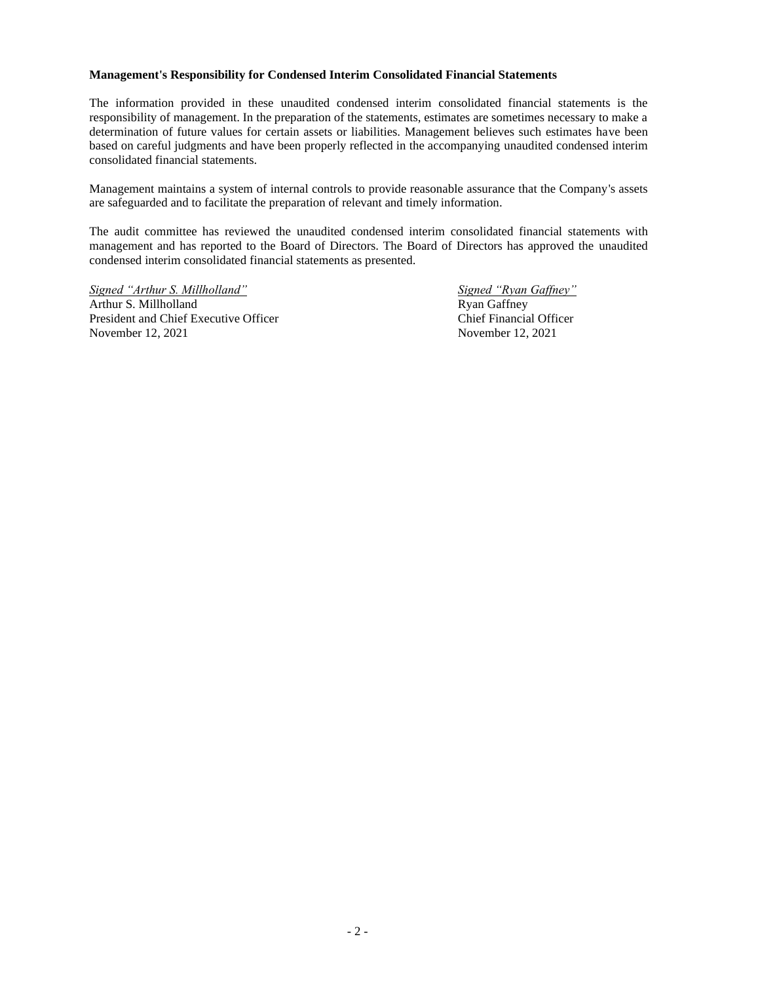### **Management's Responsibility for Condensed Interim Consolidated Financial Statements**

The information provided in these unaudited condensed interim consolidated financial statements is the responsibility of management. In the preparation of the statements, estimates are sometimes necessary to make a determination of future values for certain assets or liabilities. Management believes such estimates have been based on careful judgments and have been properly reflected in the accompanying unaudited condensed interim consolidated financial statements.

Management maintains a system of internal controls to provide reasonable assurance that the Company's assets are safeguarded and to facilitate the preparation of relevant and timely information.

The audit committee has reviewed the unaudited condensed interim consolidated financial statements with management and has reported to the Board of Directors. The Board of Directors has approved the unaudited condensed interim consolidated financial statements as presented.

*Signed "Arthur S. Millholland" Signed "Ryan Gaffney"* Arthur S. Millholland Ryan Gaffney President and Chief Executive Officer **Chief Financial Officer** Chief Financial Officer November 12, 2021 November 12, 2021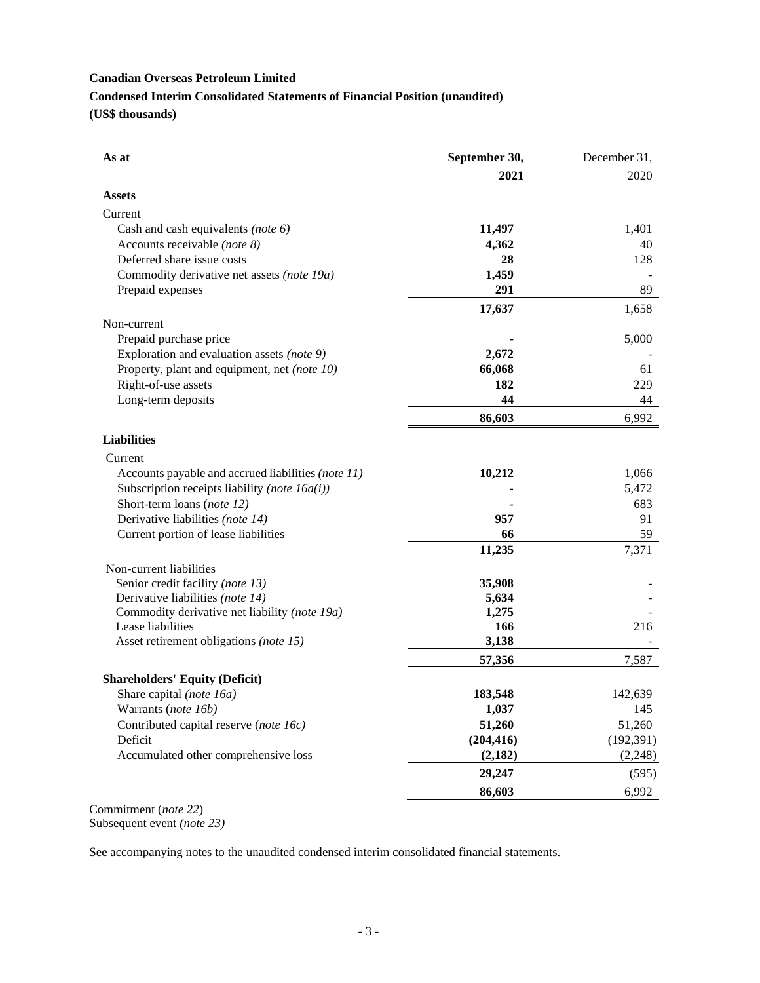# **Canadian Overseas Petroleum Limited Condensed Interim Consolidated Statements of Financial Position (unaudited) (US\$ thousands)**

| As at                                              | September 30, | December 31, |
|----------------------------------------------------|---------------|--------------|
|                                                    | 2021          | 2020         |
| <b>Assets</b>                                      |               |              |
| Current                                            |               |              |
| Cash and cash equivalents (note $6$ )              | 11,497        | 1,401        |
| Accounts receivable (note 8)                       | 4,362         | 40           |
| Deferred share issue costs                         | 28            | 128          |
| Commodity derivative net assets (note 19a)         | 1,459         |              |
| Prepaid expenses                                   | 291           | 89           |
|                                                    | 17,637        | 1,658        |
| Non-current                                        |               |              |
| Prepaid purchase price                             |               | 5,000        |
| Exploration and evaluation assets (note 9)         | 2,672         |              |
| Property, plant and equipment, net (note 10)       | 66,068        | 61           |
| Right-of-use assets                                | 182           | 229          |
| Long-term deposits                                 | 44            | 44           |
|                                                    | 86,603        | 6,992        |
| <b>Liabilities</b>                                 |               |              |
| Current                                            |               |              |
| Accounts payable and accrued liabilities (note 11) | 10,212        | 1,066        |
| Subscription receipts liability (note $16a(i)$ )   |               | 5,472        |
| Short-term loans (note 12)                         |               | 683          |
| Derivative liabilities (note 14)                   | 957           | 91           |
| Current portion of lease liabilities               | 66            | 59           |
|                                                    | 11,235        | 7,371        |
| Non-current liabilities                            |               |              |
| Senior credit facility (note 13)                   | 35,908        |              |
| Derivative liabilities (note 14)                   | 5,634         |              |
| Commodity derivative net liability (note 19a)      | 1,275         |              |
| Lease liabilities                                  | 166           | 216          |
| Asset retirement obligations (note 15)             | 3,138         |              |
|                                                    | 57,356        | 7,587        |
| <b>Shareholders' Equity (Deficit)</b>              |               |              |
| Share capital (note 16a)                           | 183,548       | 142,639      |
| Warrants (note 16b)                                | 1,037         | 145          |
| Contributed capital reserve (note 16c)             | 51,260        | 51,260       |
| Deficit                                            | (204, 416)    | (192, 391)   |
| Accumulated other comprehensive loss               | (2,182)       | (2, 248)     |
|                                                    | 29,247        | (595)        |
|                                                    | 86,603        | 6,992        |

Commitment (*note 22*) Subsequent event *(note 23)*

See accompanying notes to the unaudited condensed interim consolidated financial statements.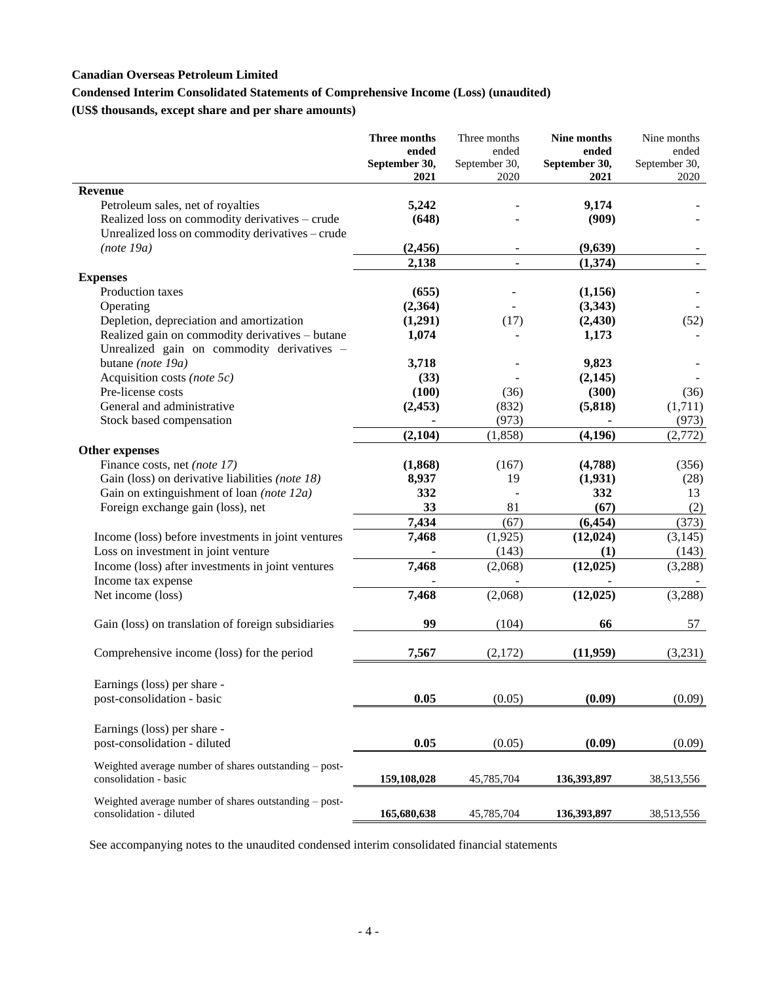### **Canadian Overseas Petroleum Limited**

### **Condensed Interim Consolidated Statements of Comprehensive Income (Loss) (unaudited)**

**(US\$ thousands, except share and per share amounts)**

|                                                                                | Three months<br>ended<br>September 30,<br>2021 | Three months<br>ended<br>September 30,<br>2020 | Nine months<br>ended<br>September 30,<br>2021 | Nine months<br>ended<br>September 30,<br>2020 |
|--------------------------------------------------------------------------------|------------------------------------------------|------------------------------------------------|-----------------------------------------------|-----------------------------------------------|
| <b>Revenue</b>                                                                 |                                                |                                                |                                               |                                               |
| Petroleum sales, net of royalties                                              | 5,242                                          |                                                | 9,174                                         |                                               |
| Realized loss on commodity derivatives - crude                                 | (648)                                          |                                                | (909)                                         |                                               |
| Unrealized loss on commodity derivatives - crude                               |                                                |                                                |                                               |                                               |
| (note 19a)                                                                     | (2, 456)                                       |                                                | (9,639)                                       |                                               |
|                                                                                | 2,138                                          | $\overline{\phantom{a}}$                       | (1,374)                                       | $\overline{\phantom{a}}$                      |
| <b>Expenses</b>                                                                |                                                |                                                |                                               |                                               |
| Production taxes                                                               | (655)                                          |                                                | (1,156)                                       |                                               |
| Operating                                                                      | (2,364)                                        |                                                | (3,343)                                       |                                               |
| Depletion, depreciation and amortization                                       | (1,291)                                        | (17)                                           | (2, 430)                                      | (52)                                          |
| Realized gain on commodity derivatives - butane                                | 1,074                                          |                                                | 1,173                                         |                                               |
| Unrealized gain on commodity derivatives -<br>butane (note 19a)                | 3,718                                          |                                                | 9,823                                         |                                               |
| Acquisition costs (note 5c)                                                    | (33)                                           |                                                | (2,145)                                       |                                               |
| Pre-license costs                                                              | (100)                                          | (36)                                           | (300)                                         | (36)                                          |
| General and administrative                                                     | (2, 453)                                       | (832)                                          | (5,818)                                       | (1,711)                                       |
| Stock based compensation                                                       |                                                | (973)                                          |                                               | (973)                                         |
|                                                                                | (2,104)                                        | (1, 858)                                       | (4, 196)                                      | (2,772)                                       |
| <b>Other expenses</b>                                                          |                                                |                                                |                                               |                                               |
| Finance costs, net (note 17)                                                   | (1, 868)                                       | (167)                                          | (4,788)                                       | (356)                                         |
| Gain (loss) on derivative liabilities (note 18)                                | 8,937                                          | 19                                             | (1,931)                                       | (28)                                          |
| Gain on extinguishment of loan (note $12a$ )                                   | 332                                            |                                                | 332                                           | 13                                            |
| Foreign exchange gain (loss), net                                              | 33                                             | 81                                             | (67)                                          | (2)                                           |
|                                                                                | 7,434                                          | (67)                                           | (6, 454)                                      | (373)                                         |
| Income (loss) before investments in joint ventures                             | 7,468                                          | (1,925)                                        | (12, 024)                                     | (3,145)                                       |
| Loss on investment in joint venture                                            |                                                | (143)                                          | (1)                                           | (143)                                         |
| Income (loss) after investments in joint ventures                              | 7,468                                          | (2,068)                                        | (12, 025)                                     | (3,288)                                       |
| Income tax expense                                                             |                                                |                                                |                                               |                                               |
| Net income (loss)                                                              | 7,468                                          | (2,068)                                        | (12, 025)                                     | (3,288)                                       |
|                                                                                |                                                |                                                |                                               |                                               |
| Gain (loss) on translation of foreign subsidiaries                             | 99                                             | (104)                                          | 66                                            | 57                                            |
| Comprehensive income (loss) for the period                                     | 7,567                                          | (2,172)                                        | (11,959)                                      | (3,231)                                       |
| Earnings (loss) per share -                                                    |                                                |                                                |                                               |                                               |
| post-consolidation - basic                                                     | 0.05                                           | (0.05)                                         | (0.09)                                        | (0.09)                                        |
|                                                                                |                                                |                                                |                                               |                                               |
| Earnings (loss) per share -                                                    |                                                |                                                |                                               |                                               |
| post-consolidation - diluted                                                   | 0.05                                           | (0.05)                                         | (0.09)                                        | (0.09)                                        |
| Weighted average number of shares outstanding - post-<br>consolidation - basic | 159,108,028                                    | 45,785,704                                     | 136,393,897                                   | 38,513,556                                    |
| Weighted average number of shares outstanding - post-                          |                                                |                                                |                                               |                                               |
| consolidation - diluted                                                        | 165,680,638                                    | 45,785,704                                     | 136,393,897                                   | 38,513,556                                    |

See accompanying notes to the unaudited condensed interim consolidated financial statements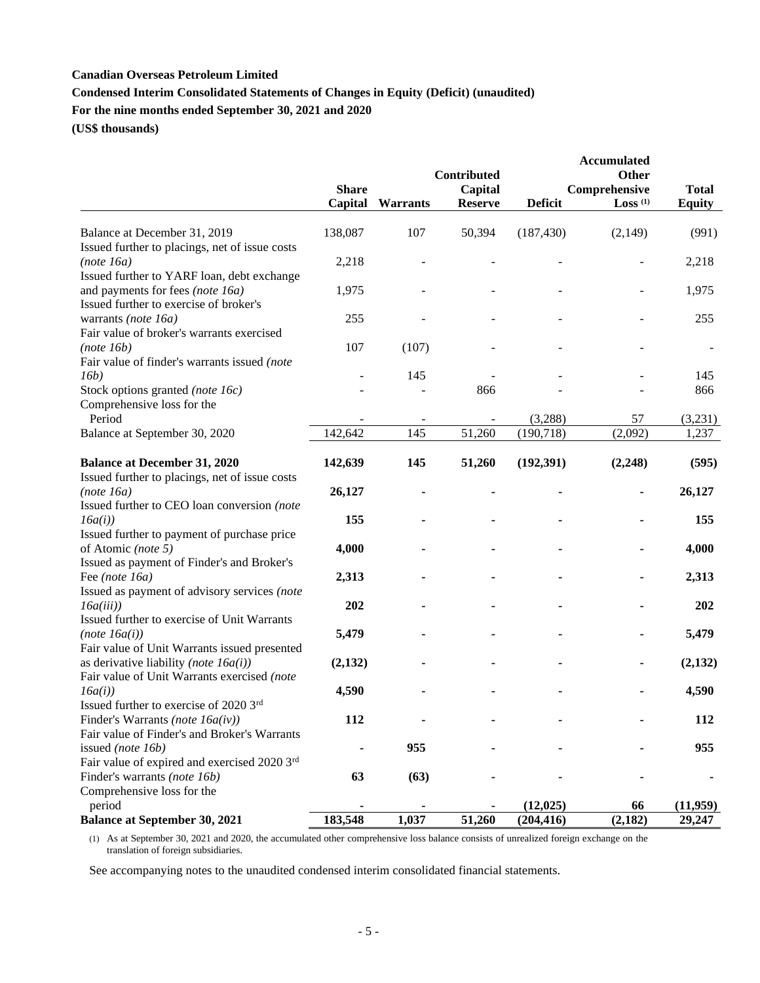### **Canadian Overseas Petroleum Limited**

## **Condensed Interim Consolidated Statements of Changes in Equity (Deficit) (unaudited)**

**For the nine months ended September 30, 2021 and 2020**

**(US\$ thousands)**

|                                                                                                             | Contributed             |                 |                           | <b>Accumulated</b><br>Other |                                        |                               |
|-------------------------------------------------------------------------------------------------------------|-------------------------|-----------------|---------------------------|-----------------------------|----------------------------------------|-------------------------------|
|                                                                                                             | <b>Share</b><br>Capital | <b>Warrants</b> | Capital<br><b>Reserve</b> | <b>Deficit</b>              | Comprehensive<br>$Loss$ <sup>(1)</sup> | <b>Total</b><br><b>Equity</b> |
| Balance at December 31, 2019                                                                                | 138,087                 | 107             | 50,394                    | (187, 430)                  | (2,149)                                | (991)                         |
| Issued further to placings, net of issue costs                                                              |                         |                 |                           |                             |                                        |                               |
| (note 16a)                                                                                                  | 2,218                   |                 |                           |                             |                                        | 2,218                         |
| Issued further to YARF loan, debt exchange                                                                  |                         |                 |                           |                             |                                        |                               |
| and payments for fees (note 16a)                                                                            | 1,975                   |                 |                           |                             |                                        | 1,975                         |
| Issued further to exercise of broker's                                                                      |                         |                 |                           |                             |                                        |                               |
| warrants (note 16a)                                                                                         | 255                     |                 |                           |                             |                                        | 255                           |
| Fair value of broker's warrants exercised                                                                   |                         |                 |                           |                             |                                        |                               |
| (note 16b)                                                                                                  | 107                     | (107)           |                           |                             |                                        |                               |
| Fair value of finder's warrants issued (note                                                                |                         |                 |                           |                             |                                        | 145                           |
| 16b)<br>Stock options granted (note 16c)                                                                    |                         | 145             | 866                       |                             |                                        | 866                           |
| Comprehensive loss for the                                                                                  |                         |                 |                           |                             |                                        |                               |
| Period                                                                                                      |                         |                 |                           | (3,288)                     | 57                                     | (3,231)                       |
| Balance at September 30, 2020                                                                               | 142,642                 | 145             | 51,260                    | (190, 718)                  | (2,092)                                | 1,237                         |
|                                                                                                             |                         |                 |                           |                             |                                        |                               |
| <b>Balance at December 31, 2020</b>                                                                         | 142,639                 | 145             | 51,260                    | (192, 391)                  | (2,248)                                | (595)                         |
| Issued further to placings, net of issue costs<br>(note 16a)<br>Issued further to CEO loan conversion (note | 26,127                  |                 |                           |                             | $\blacksquare$                         | 26,127                        |
| 16a(i)<br>Issued further to payment of purchase price                                                       | 155                     |                 |                           |                             |                                        | 155                           |
| of Atomic (note 5)<br>Issued as payment of Finder's and Broker's                                            | 4,000                   |                 |                           |                             |                                        | 4,000                         |
| Fee (note 16a)                                                                                              | 2,313                   |                 |                           |                             |                                        | 2,313                         |
| Issued as payment of advisory services (note<br>16a(iii)                                                    | 202                     |                 |                           |                             |                                        | 202                           |
| Issued further to exercise of Unit Warrants                                                                 |                         |                 |                           |                             |                                        |                               |
| (note~I6a(i))<br>Fair value of Unit Warrants issued presented                                               | 5,479                   |                 |                           |                             |                                        | 5,479                         |
| as derivative liability (note $16a(i)$ )<br>Fair value of Unit Warrants exercised (note                     | (2,132)                 |                 |                           |                             |                                        | (2,132)                       |
| 16a(i)<br>Issued further to exercise of 2020 3rd                                                            | 4,590                   |                 |                           |                             |                                        | 4,590                         |
| Finder's Warrants (note $16a(iv)$ )                                                                         | 112                     |                 |                           |                             |                                        | 112                           |
| Fair value of Finder's and Broker's Warrants                                                                |                         |                 |                           |                             |                                        |                               |
| issued (note 16b)                                                                                           |                         | 955             |                           |                             |                                        | 955                           |
| Fair value of expired and exercised 2020 3rd                                                                |                         |                 |                           |                             |                                        |                               |
| Finder's warrants (note 16b)                                                                                | 63                      | (63)            |                           |                             |                                        |                               |
| Comprehensive loss for the                                                                                  |                         |                 |                           |                             |                                        |                               |
| period                                                                                                      |                         |                 |                           | (12, 025)                   | 66                                     | (11,959)                      |
| <b>Balance at September 30, 2021</b>                                                                        | 183,548                 | 1,037           | 51,260                    | (204, 416)                  | (2,182)                                | 29,247                        |

(1) As at September 30, 2021 and 2020, the accumulated other comprehensive loss balance consists of unrealized foreign exchange on the translation of foreign subsidiaries.

See accompanying notes to the unaudited condensed interim consolidated financial statements.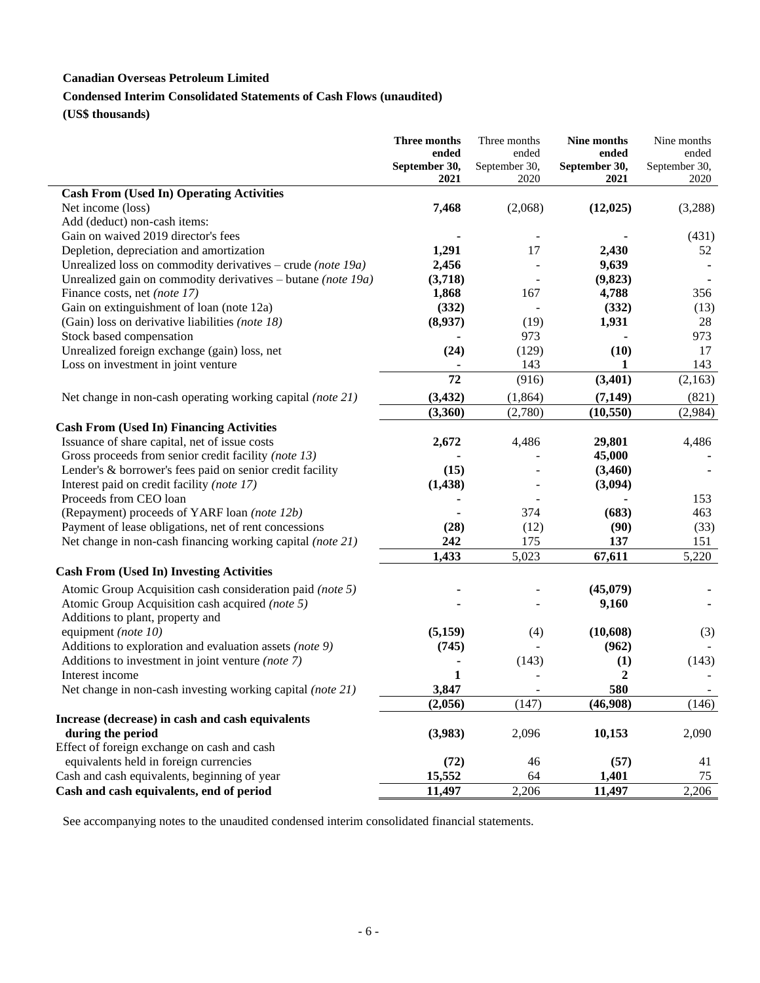## **Canadian Overseas Petroleum Limited**

# **Condensed Interim Consolidated Statements of Cash Flows (unaudited)**

**(US\$ thousands)**

|                                                                      | Three months  | Three months  | Nine months   | Nine months   |
|----------------------------------------------------------------------|---------------|---------------|---------------|---------------|
|                                                                      | ended         | ended         | ended         | ended         |
|                                                                      | September 30, | September 30, | September 30, | September 30, |
|                                                                      | 2021          | 2020          | 2021          | 2020          |
| <b>Cash From (Used In) Operating Activities</b><br>Net income (loss) |               | (2,068)       |               |               |
|                                                                      | 7,468         |               | (12, 025)     | (3,288)       |
| Add (deduct) non-cash items:                                         |               |               |               |               |
| Gain on waived 2019 director's fees                                  |               |               |               | (431)         |
| Depletion, depreciation and amortization                             | 1,291         | 17            | 2,430         | 52            |
| Unrealized loss on commodity derivatives – crude (note 19a)          | 2,456         |               | 9,639         |               |
| Unrealized gain on commodity derivatives – butane (note 19a)         | (3,718)       |               | (9, 823)      |               |
| Finance costs, net (note 17)                                         | 1,868         | 167           | 4,788         | 356           |
| Gain on extinguishment of loan (note 12a)                            | (332)         |               | (332)         | (13)          |
| (Gain) loss on derivative liabilities (note 18)                      | (8,937)       | (19)          | 1,931         | 28            |
| Stock based compensation                                             |               | 973           |               | 973           |
| Unrealized foreign exchange (gain) loss, net                         | (24)          | (129)         | (10)          | 17            |
| Loss on investment in joint venture                                  |               | 143           | 1             | 143           |
|                                                                      | 72            | (916)         | (3,401)       | (2,163)       |
| Net change in non-cash operating working capital <i>(note 21)</i>    | (3, 432)      | (1, 864)      | (7, 149)      | (821)         |
|                                                                      | (3,360)       | (2,780)       | (10, 550)     | (2,984)       |
| <b>Cash From (Used In) Financing Activities</b>                      |               |               |               |               |
| Issuance of share capital, net of issue costs                        | 2,672         | 4,486         | 29,801        | 4,486         |
| Gross proceeds from senior credit facility (note 13)                 |               |               | 45,000        |               |
| Lender's & borrower's fees paid on senior credit facility            | (15)          |               | (3,460)       |               |
| Interest paid on credit facility (note 17)                           | (1, 438)      |               | (3,094)       |               |
| Proceeds from CEO loan                                               |               |               |               | 153           |
| (Repayment) proceeds of YARF loan (note 12b)                         |               | 374           | (683)         | 463           |
| Payment of lease obligations, net of rent concessions                | (28)          | (12)          | (90)          | (33)          |
| Net change in non-cash financing working capital (note 21)           | 242           | 175           | 137           | 151           |
|                                                                      | 1,433         | 5,023         | 67,611        | 5,220         |
| <b>Cash From (Used In) Investing Activities</b>                      |               |               |               |               |
|                                                                      |               |               |               |               |
| Atomic Group Acquisition cash consideration paid (note 5)            |               |               | (45,079)      |               |
| Atomic Group Acquisition cash acquired (note 5)                      |               |               | 9,160         |               |
| Additions to plant, property and                                     |               |               |               |               |
| equipment (note 10)                                                  | (5,159)       | (4)           | (10,608)      | (3)           |
| Additions to exploration and evaluation assets (note 9)              | (745)         |               | (962)         |               |
| Additions to investment in joint venture (note 7)                    |               | (143)         | (1)           | (143)         |
| Interest income                                                      | 1             |               | $\mathbf{2}$  |               |
| Net change in non-cash investing working capital (note 21)           | 3,847         |               | 580           |               |
|                                                                      | (2,056)       | (147)         | (46,908)      | (146)         |
| Increase (decrease) in cash and cash equivalents                     |               |               |               |               |
| during the period                                                    | (3,983)       | 2,096         | 10,153        | 2,090         |
| Effect of foreign exchange on cash and cash                          |               |               |               |               |
| equivalents held in foreign currencies                               | (72)          | 46            | (57)          | 41            |
| Cash and cash equivalents, beginning of year                         | 15,552        | 64            | 1,401         | 75            |
| Cash and cash equivalents, end of period                             | 11,497        | 2,206         | 11,497        | 2,206         |

See accompanying notes to the unaudited condensed interim consolidated financial statements.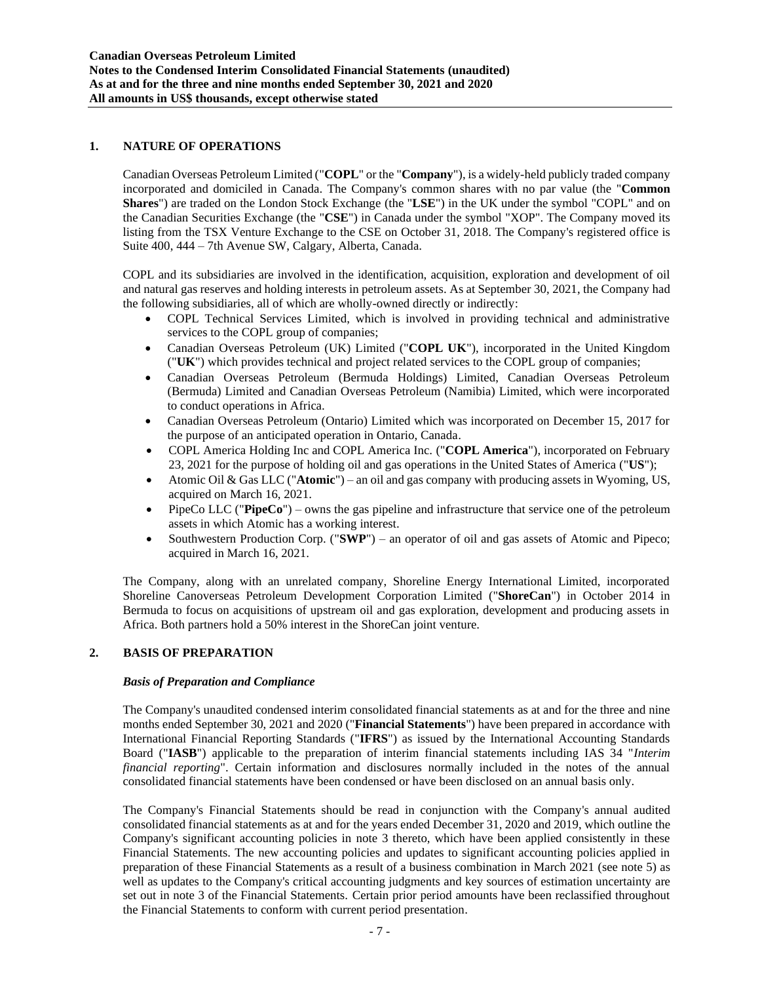### **1. NATURE OF OPERATIONS**

Canadian Overseas Petroleum Limited ("**COPL**" or the "**Company**"), is a widely-held publicly traded company incorporated and domiciled in Canada. The Company's common shares with no par value (the "**Common Shares**") are traded on the London Stock Exchange (the "**LSE**") in the UK under the symbol "COPL" and on the Canadian Securities Exchange (the "**CSE**") in Canada under the symbol "XOP". The Company moved its listing from the TSX Venture Exchange to the CSE on October 31, 2018. The Company's registered office is Suite 400, 444 – 7th Avenue SW, Calgary, Alberta, Canada.

COPL and its subsidiaries are involved in the identification, acquisition, exploration and development of oil and natural gas reserves and holding interests in petroleum assets. As at September 30, 2021, the Company had the following subsidiaries, all of which are wholly-owned directly or indirectly:

- COPL Technical Services Limited, which is involved in providing technical and administrative services to the COPL group of companies;
- Canadian Overseas Petroleum (UK) Limited ("**COPL UK**"), incorporated in the United Kingdom ("**UK**") which provides technical and project related services to the COPL group of companies;
- Canadian Overseas Petroleum (Bermuda Holdings) Limited, Canadian Overseas Petroleum (Bermuda) Limited and Canadian Overseas Petroleum (Namibia) Limited, which were incorporated to conduct operations in Africa.
- Canadian Overseas Petroleum (Ontario) Limited which was incorporated on December 15, 2017 for the purpose of an anticipated operation in Ontario, Canada.
- COPL America Holding Inc and COPL America Inc. ("**COPL America**"), incorporated on February 23, 2021 for the purpose of holding oil and gas operations in the United States of America ("**US**");
- Atomic Oil & Gas LLC ("**Atomic**") an oil and gas company with producing assets in Wyoming, US, acquired on March 16, 2021.
- PipeCo LLC ("**PipeCo**") owns the gas pipeline and infrastructure that service one of the petroleum assets in which Atomic has a working interest.
- Southwestern Production Corp. ("**SWP**") an operator of oil and gas assets of Atomic and Pipeco; acquired in March 16, 2021.

The Company, along with an unrelated company, Shoreline Energy International Limited, incorporated Shoreline Canoverseas Petroleum Development Corporation Limited ("**ShoreCan**") in October 2014 in Bermuda to focus on acquisitions of upstream oil and gas exploration, development and producing assets in Africa. Both partners hold a 50% interest in the ShoreCan joint venture.

#### **2. BASIS OF PREPARATION**

#### *Basis of Preparation and Compliance*

The Company's unaudited condensed interim consolidated financial statements as at and for the three and nine months ended September 30, 2021 and 2020 ("**Financial Statements**") have been prepared in accordance with International Financial Reporting Standards ("**IFRS**") as issued by the International Accounting Standards Board ("**IASB**") applicable to the preparation of interim financial statements including IAS 34 "*Interim financial reporting*". Certain information and disclosures normally included in the notes of the annual consolidated financial statements have been condensed or have been disclosed on an annual basis only.

The Company's Financial Statements should be read in conjunction with the Company's annual audited consolidated financial statements as at and for the years ended December 31, 2020 and 2019, which outline the Company's significant accounting policies in note 3 thereto, which have been applied consistently in these Financial Statements. The new accounting policies and updates to significant accounting policies applied in preparation of these Financial Statements as a result of a business combination in March 2021 (see note 5) as well as updates to the Company's critical accounting judgments and key sources of estimation uncertainty are set out in note 3 of the Financial Statements. Certain prior period amounts have been reclassified throughout the Financial Statements to conform with current period presentation.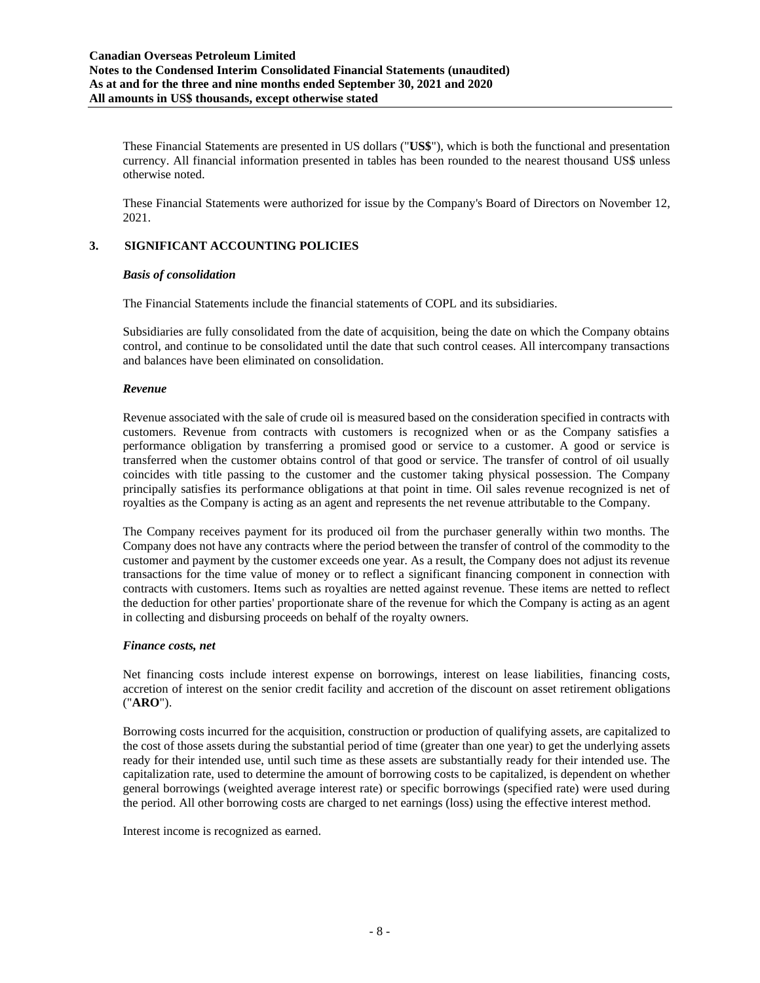These Financial Statements are presented in US dollars ("**US\$**"), which is both the functional and presentation currency. All financial information presented in tables has been rounded to the nearest thousand US\$ unless otherwise noted.

These Financial Statements were authorized for issue by the Company's Board of Directors on November 12, 2021.

### **3. SIGNIFICANT ACCOUNTING POLICIES**

#### *Basis of consolidation*

The Financial Statements include the financial statements of COPL and its subsidiaries.

Subsidiaries are fully consolidated from the date of acquisition, being the date on which the Company obtains control, and continue to be consolidated until the date that such control ceases. All intercompany transactions and balances have been eliminated on consolidation.

### *Revenue*

Revenue associated with the sale of crude oil is measured based on the consideration specified in contracts with customers. Revenue from contracts with customers is recognized when or as the Company satisfies a performance obligation by transferring a promised good or service to a customer. A good or service is transferred when the customer obtains control of that good or service. The transfer of control of oil usually coincides with title passing to the customer and the customer taking physical possession. The Company principally satisfies its performance obligations at that point in time. Oil sales revenue recognized is net of royalties as the Company is acting as an agent and represents the net revenue attributable to the Company.

The Company receives payment for its produced oil from the purchaser generally within two months. The Company does not have any contracts where the period between the transfer of control of the commodity to the customer and payment by the customer exceeds one year. As a result, the Company does not adjust its revenue transactions for the time value of money or to reflect a significant financing component in connection with contracts with customers. Items such as royalties are netted against revenue. These items are netted to reflect the deduction for other parties' proportionate share of the revenue for which the Company is acting as an agent in collecting and disbursing proceeds on behalf of the royalty owners.

### *Finance costs, net*

Net financing costs include interest expense on borrowings, interest on lease liabilities, financing costs, accretion of interest on the senior credit facility and accretion of the discount on asset retirement obligations ("**ARO**").

Borrowing costs incurred for the acquisition, construction or production of qualifying assets, are capitalized to the cost of those assets during the substantial period of time (greater than one year) to get the underlying assets ready for their intended use, until such time as these assets are substantially ready for their intended use. The capitalization rate, used to determine the amount of borrowing costs to be capitalized, is dependent on whether general borrowings (weighted average interest rate) or specific borrowings (specified rate) were used during the period. All other borrowing costs are charged to net earnings (loss) using the effective interest method.

Interest income is recognized as earned.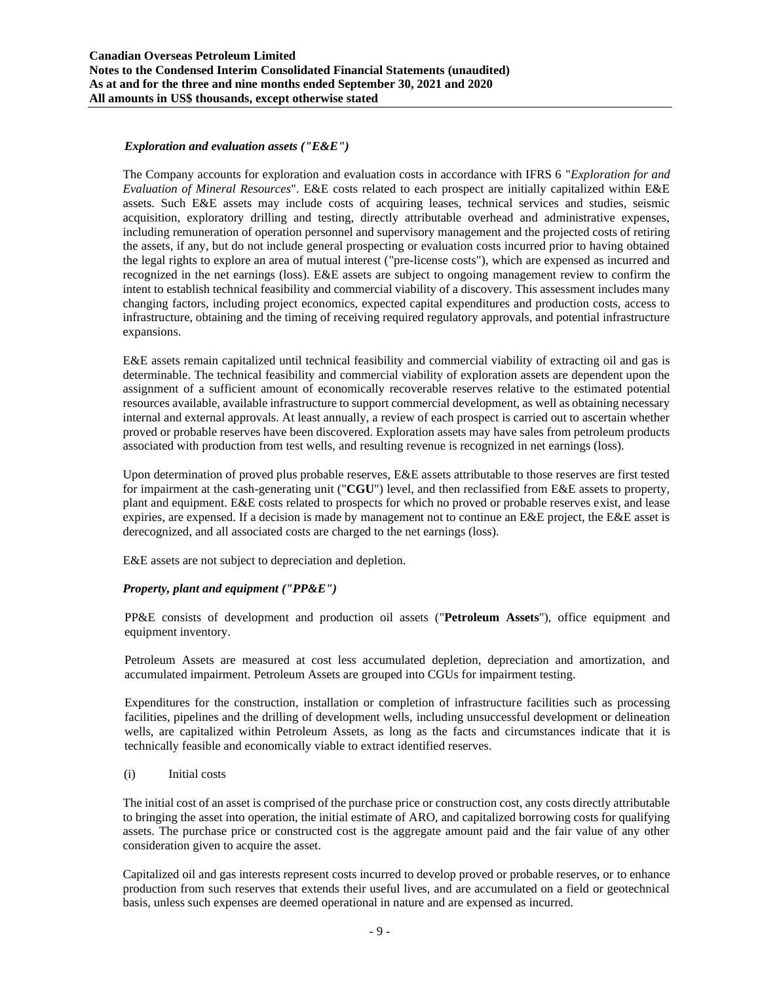### *Exploration and evaluation assets ("E&E")*

The Company accounts for exploration and evaluation costs in accordance with IFRS 6 "*Exploration for and Evaluation of Mineral Resources*". E&E costs related to each prospect are initially capitalized within E&E assets. Such E&E assets may include costs of acquiring leases, technical services and studies, seismic acquisition, exploratory drilling and testing, directly attributable overhead and administrative expenses, including remuneration of operation personnel and supervisory management and the projected costs of retiring the assets, if any, but do not include general prospecting or evaluation costs incurred prior to having obtained the legal rights to explore an area of mutual interest ("pre-license costs"), which are expensed as incurred and recognized in the net earnings (loss). E&E assets are subject to ongoing management review to confirm the intent to establish technical feasibility and commercial viability of a discovery. This assessment includes many changing factors, including project economics, expected capital expenditures and production costs, access to infrastructure, obtaining and the timing of receiving required regulatory approvals, and potential infrastructure expansions.

E&E assets remain capitalized until technical feasibility and commercial viability of extracting oil and gas is determinable. The technical feasibility and commercial viability of exploration assets are dependent upon the assignment of a sufficient amount of economically recoverable reserves relative to the estimated potential resources available, available infrastructure to support commercial development, as well as obtaining necessary internal and external approvals. At least annually, a review of each prospect is carried out to ascertain whether proved or probable reserves have been discovered. Exploration assets may have sales from petroleum products associated with production from test wells, and resulting revenue is recognized in net earnings (loss).

Upon determination of proved plus probable reserves, E&E assets attributable to those reserves are first tested for impairment at the cash-generating unit ("**CGU**") level, and then reclassified from E&E assets to property, plant and equipment. E&E costs related to prospects for which no proved or probable reserves exist, and lease expiries, are expensed. If a decision is made by management not to continue an E&E project, the E&E asset is derecognized, and all associated costs are charged to the net earnings (loss).

E&E assets are not subject to depreciation and depletion.

### *Property, plant and equipment ("PP&E")*

PP&E consists of development and production oil assets ("**Petroleum Assets**"), office equipment and equipment inventory.

Petroleum Assets are measured at cost less accumulated depletion, depreciation and amortization, and accumulated impairment. Petroleum Assets are grouped into CGUs for impairment testing.

Expenditures for the construction, installation or completion of infrastructure facilities such as processing facilities, pipelines and the drilling of development wells, including unsuccessful development or delineation wells, are capitalized within Petroleum Assets, as long as the facts and circumstances indicate that it is technically feasible and economically viable to extract identified reserves.

#### (i) Initial costs

The initial cost of an asset is comprised of the purchase price or construction cost, any costs directly attributable to bringing the asset into operation, the initial estimate of ARO, and capitalized borrowing costs for qualifying assets. The purchase price or constructed cost is the aggregate amount paid and the fair value of any other consideration given to acquire the asset.

Capitalized oil and gas interests represent costs incurred to develop proved or probable reserves, or to enhance production from such reserves that extends their useful lives, and are accumulated on a field or geotechnical basis, unless such expenses are deemed operational in nature and are expensed as incurred.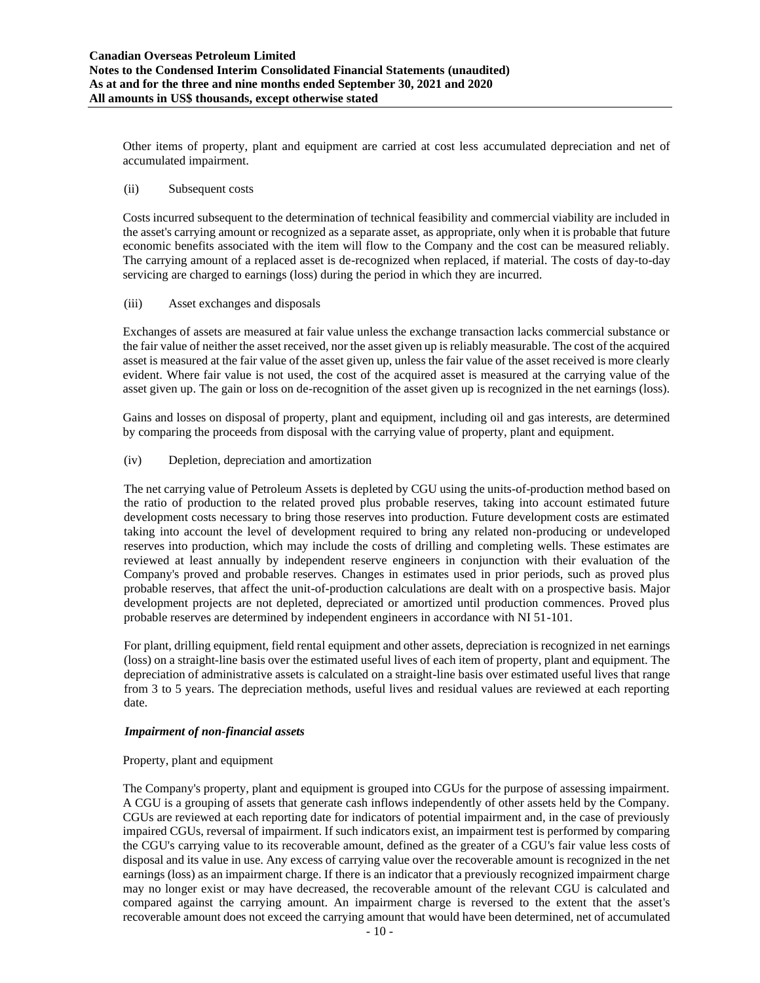Other items of property, plant and equipment are carried at cost less accumulated depreciation and net of accumulated impairment.

#### (ii) Subsequent costs

Costs incurred subsequent to the determination of technical feasibility and commercial viability are included in the asset's carrying amount or recognized as a separate asset, as appropriate, only when it is probable that future economic benefits associated with the item will flow to the Company and the cost can be measured reliably. The carrying amount of a replaced asset is de-recognized when replaced, if material. The costs of day-to-day servicing are charged to earnings (loss) during the period in which they are incurred.

### (iii) Asset exchanges and disposals

Exchanges of assets are measured at fair value unless the exchange transaction lacks commercial substance or the fair value of neither the asset received, nor the asset given up is reliably measurable. The cost of the acquired asset is measured at the fair value of the asset given up, unless the fair value of the asset received is more clearly evident. Where fair value is not used, the cost of the acquired asset is measured at the carrying value of the asset given up. The gain or loss on de-recognition of the asset given up is recognized in the net earnings (loss).

Gains and losses on disposal of property, plant and equipment, including oil and gas interests, are determined by comparing the proceeds from disposal with the carrying value of property, plant and equipment.

(iv) Depletion, depreciation and amortization

The net carrying value of Petroleum Assets is depleted by CGU using the units-of-production method based on the ratio of production to the related proved plus probable reserves, taking into account estimated future development costs necessary to bring those reserves into production. Future development costs are estimated taking into account the level of development required to bring any related non-producing or undeveloped reserves into production, which may include the costs of drilling and completing wells. These estimates are reviewed at least annually by independent reserve engineers in conjunction with their evaluation of the Company's proved and probable reserves. Changes in estimates used in prior periods, such as proved plus probable reserves, that affect the unit-of-production calculations are dealt with on a prospective basis. Major development projects are not depleted, depreciated or amortized until production commences. Proved plus probable reserves are determined by independent engineers in accordance with NI 51-101.

For plant, drilling equipment, field rental equipment and other assets, depreciation is recognized in net earnings (loss) on a straight-line basis over the estimated useful lives of each item of property, plant and equipment. The depreciation of administrative assets is calculated on a straight-line basis over estimated useful lives that range from 3 to 5 years. The depreciation methods, useful lives and residual values are reviewed at each reporting date.

### *Impairment of non-financial assets*

#### Property, plant and equipment

The Company's property, plant and equipment is grouped into CGUs for the purpose of assessing impairment. A CGU is a grouping of assets that generate cash inflows independently of other assets held by the Company. CGUs are reviewed at each reporting date for indicators of potential impairment and, in the case of previously impaired CGUs, reversal of impairment. If such indicators exist, an impairment test is performed by comparing the CGU's carrying value to its recoverable amount, defined as the greater of a CGU's fair value less costs of disposal and its value in use. Any excess of carrying value over the recoverable amount is recognized in the net earnings (loss) as an impairment charge. If there is an indicator that a previously recognized impairment charge may no longer exist or may have decreased, the recoverable amount of the relevant CGU is calculated and compared against the carrying amount. An impairment charge is reversed to the extent that the asset's recoverable amount does not exceed the carrying amount that would have been determined, net of accumulated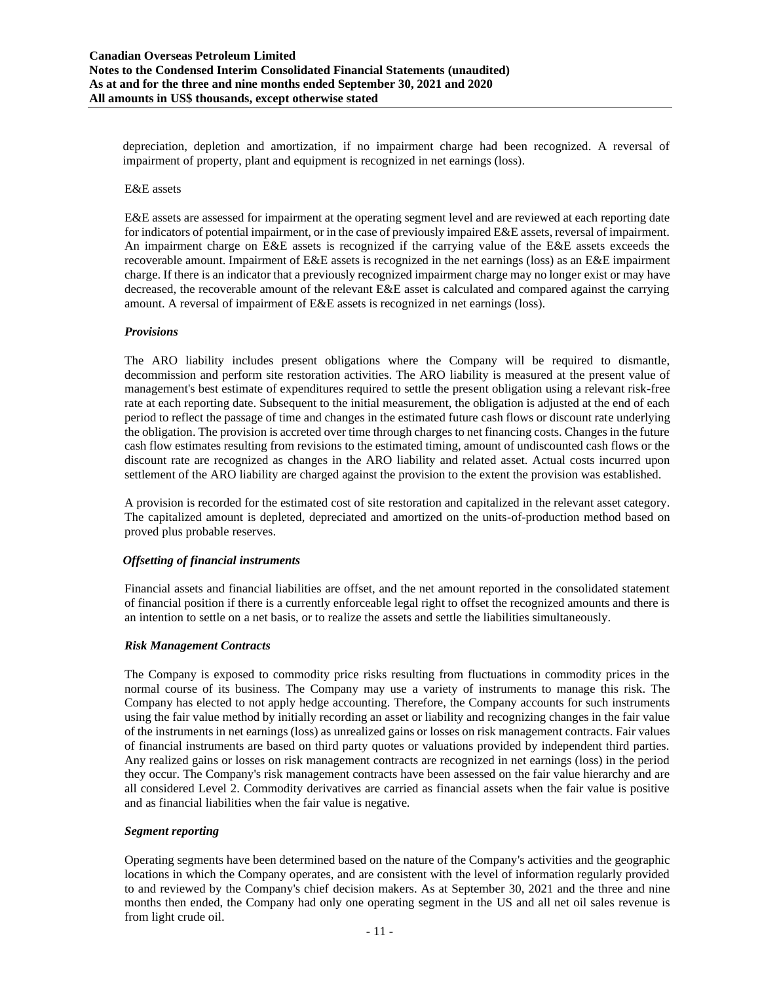depreciation, depletion and amortization, if no impairment charge had been recognized. A reversal of impairment of property, plant and equipment is recognized in net earnings (loss).

#### E&E assets

E&E assets are assessed for impairment at the operating segment level and are reviewed at each reporting date for indicators of potential impairment, or in the case of previously impaired E&E assets, reversal of impairment. An impairment charge on E&E assets is recognized if the carrying value of the E&E assets exceeds the recoverable amount. Impairment of E&E assets is recognized in the net earnings (loss) as an E&E impairment charge. If there is an indicator that a previously recognized impairment charge may no longer exist or may have decreased, the recoverable amount of the relevant E&E asset is calculated and compared against the carrying amount. A reversal of impairment of E&E assets is recognized in net earnings (loss).

#### *Provisions*

The ARO liability includes present obligations where the Company will be required to dismantle, decommission and perform site restoration activities. The ARO liability is measured at the present value of management's best estimate of expenditures required to settle the present obligation using a relevant risk-free rate at each reporting date. Subsequent to the initial measurement, the obligation is adjusted at the end of each period to reflect the passage of time and changes in the estimated future cash flows or discount rate underlying the obligation. The provision is accreted over time through charges to net financing costs. Changes in the future cash flow estimates resulting from revisions to the estimated timing, amount of undiscounted cash flows or the discount rate are recognized as changes in the ARO liability and related asset. Actual costs incurred upon settlement of the ARO liability are charged against the provision to the extent the provision was established.

A provision is recorded for the estimated cost of site restoration and capitalized in the relevant asset category. The capitalized amount is depleted, depreciated and amortized on the units-of-production method based on proved plus probable reserves.

#### *Offsetting of financial instruments*

Financial assets and financial liabilities are offset, and the net amount reported in the consolidated statement of financial position if there is a currently enforceable legal right to offset the recognized amounts and there is an intention to settle on a net basis, or to realize the assets and settle the liabilities simultaneously.

#### *Risk Management Contracts*

The Company is exposed to commodity price risks resulting from fluctuations in commodity prices in the normal course of its business. The Company may use a variety of instruments to manage this risk. The Company has elected to not apply hedge accounting. Therefore, the Company accounts for such instruments using the fair value method by initially recording an asset or liability and recognizing changes in the fair value of the instruments in net earnings (loss) as unrealized gains or losses on risk management contracts. Fair values of financial instruments are based on third party quotes or valuations provided by independent third parties. Any realized gains or losses on risk management contracts are recognized in net earnings (loss) in the period they occur. The Company's risk management contracts have been assessed on the fair value hierarchy and are all considered Level 2. Commodity derivatives are carried as financial assets when the fair value is positive and as financial liabilities when the fair value is negative.

#### *Segment reporting*

Operating segments have been determined based on the nature of the Company's activities and the geographic locations in which the Company operates, and are consistent with the level of information regularly provided to and reviewed by the Company's chief decision makers. As at September 30, 2021 and the three and nine months then ended, the Company had only one operating segment in the US and all net oil sales revenue is from light crude oil.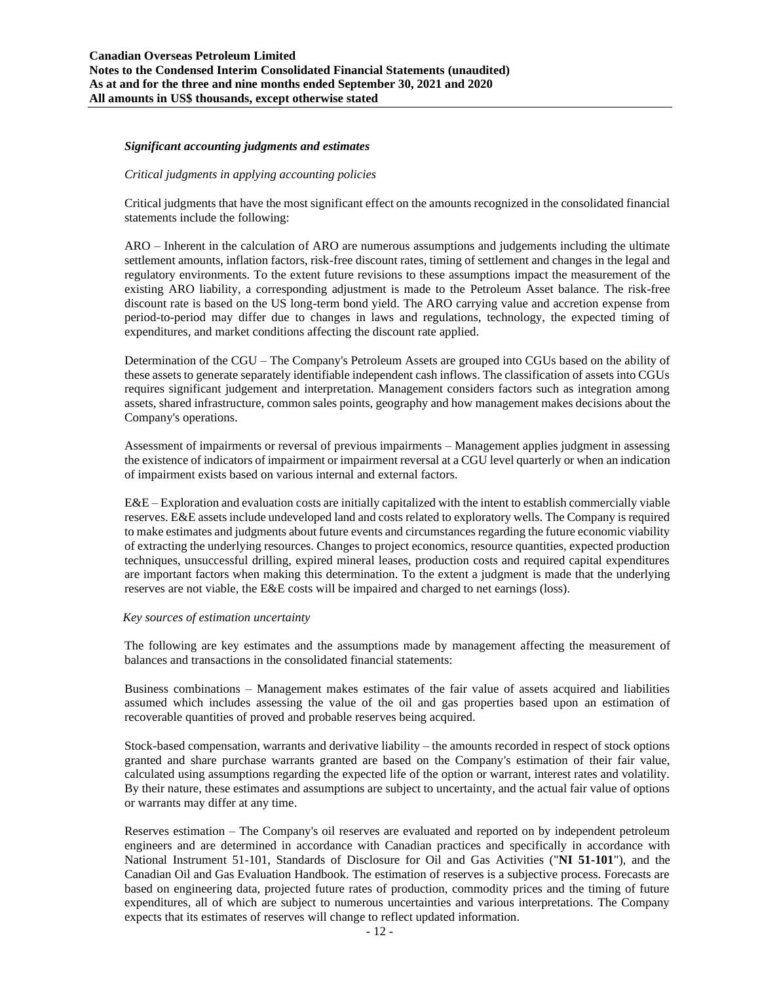#### *Significant accounting judgments and estimates*

#### *Critical judgments in applying accounting policies*

Critical judgments that have the most significant effect on the amounts recognized in the consolidated financial statements include the following:

ARO – Inherent in the calculation of ARO are numerous assumptions and judgements including the ultimate settlement amounts, inflation factors, risk-free discount rates, timing of settlement and changes in the legal and regulatory environments. To the extent future revisions to these assumptions impact the measurement of the existing ARO liability, a corresponding adjustment is made to the Petroleum Asset balance. The risk-free discount rate is based on the US long-term bond yield. The ARO carrying value and accretion expense from period-to-period may differ due to changes in laws and regulations, technology, the expected timing of expenditures, and market conditions affecting the discount rate applied.

Determination of the CGU – The Company's Petroleum Assets are grouped into CGUs based on the ability of these assets to generate separately identifiable independent cash inflows. The classification of assets into CGUs requires significant judgement and interpretation. Management considers factors such as integration among assets, shared infrastructure, common sales points, geography and how management makes decisions about the Company's operations.

Assessment of impairments or reversal of previous impairments – Management applies judgment in assessing the existence of indicators of impairment or impairment reversal at a CGU level quarterly or when an indication of impairment exists based on various internal and external factors.

E&E – Exploration and evaluation costs are initially capitalized with the intent to establish commercially viable reserves. E&E assets include undeveloped land and costs related to exploratory wells. The Company is required to make estimates and judgments about future events and circumstances regarding the future economic viability of extracting the underlying resources. Changes to project economics, resource quantities, expected production techniques, unsuccessful drilling, expired mineral leases, production costs and required capital expenditures are important factors when making this determination. To the extent a judgment is made that the underlying reserves are not viable, the E&E costs will be impaired and charged to net earnings (loss).

#### *Key sources of estimation uncertainty*

The following are key estimates and the assumptions made by management affecting the measurement of balances and transactions in the consolidated financial statements:

Business combinations – Management makes estimates of the fair value of assets acquired and liabilities assumed which includes assessing the value of the oil and gas properties based upon an estimation of recoverable quantities of proved and probable reserves being acquired.

Stock-based compensation, warrants and derivative liability – the amounts recorded in respect of stock options granted and share purchase warrants granted are based on the Company's estimation of their fair value, calculated using assumptions regarding the expected life of the option or warrant, interest rates and volatility. By their nature, these estimates and assumptions are subject to uncertainty, and the actual fair value of options or warrants may differ at any time.

Reserves estimation – The Company's oil reserves are evaluated and reported on by independent petroleum engineers and are determined in accordance with Canadian practices and specifically in accordance with National Instrument 51-101, Standards of Disclosure for Oil and Gas Activities ("**NI 51-101**"), and the Canadian Oil and Gas Evaluation Handbook. The estimation of reserves is a subjective process. Forecasts are based on engineering data, projected future rates of production, commodity prices and the timing of future expenditures, all of which are subject to numerous uncertainties and various interpretations. The Company expects that its estimates of reserves will change to reflect updated information.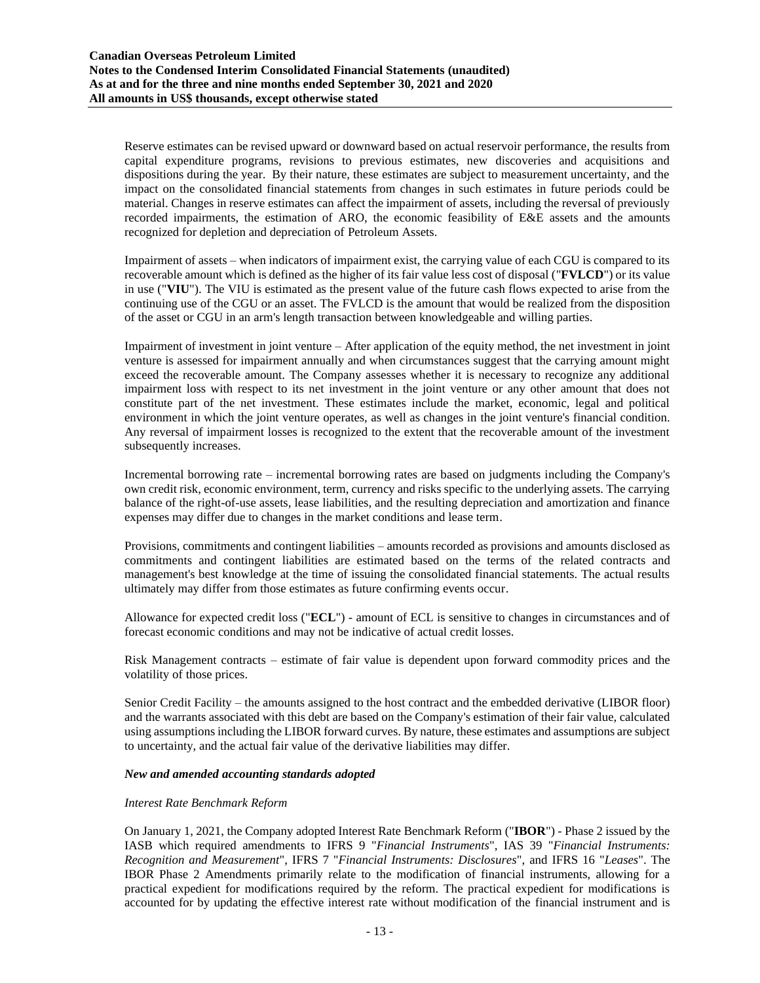Reserve estimates can be revised upward or downward based on actual reservoir performance, the results from capital expenditure programs, revisions to previous estimates, new discoveries and acquisitions and dispositions during the year. By their nature, these estimates are subject to measurement uncertainty, and the impact on the consolidated financial statements from changes in such estimates in future periods could be material. Changes in reserve estimates can affect the impairment of assets, including the reversal of previously recorded impairments, the estimation of ARO, the economic feasibility of E&E assets and the amounts recognized for depletion and depreciation of Petroleum Assets.

Impairment of assets – when indicators of impairment exist, the carrying value of each CGU is compared to its recoverable amount which is defined as the higher of its fair value less cost of disposal ("**FVLCD**") or its value in use ("**VIU**"). The VIU is estimated as the present value of the future cash flows expected to arise from the continuing use of the CGU or an asset. The FVLCD is the amount that would be realized from the disposition of the asset or CGU in an arm's length transaction between knowledgeable and willing parties.

Impairment of investment in joint venture – After application of the equity method, the net investment in joint venture is assessed for impairment annually and when circumstances suggest that the carrying amount might exceed the recoverable amount. The Company assesses whether it is necessary to recognize any additional impairment loss with respect to its net investment in the joint venture or any other amount that does not constitute part of the net investment. These estimates include the market, economic, legal and political environment in which the joint venture operates, as well as changes in the joint venture's financial condition. Any reversal of impairment losses is recognized to the extent that the recoverable amount of the investment subsequently increases.

Incremental borrowing rate – incremental borrowing rates are based on judgments including the Company's own credit risk, economic environment, term, currency and risks specific to the underlying assets. The carrying balance of the right-of-use assets, lease liabilities, and the resulting depreciation and amortization and finance expenses may differ due to changes in the market conditions and lease term.

Provisions, commitments and contingent liabilities – amounts recorded as provisions and amounts disclosed as commitments and contingent liabilities are estimated based on the terms of the related contracts and management's best knowledge at the time of issuing the consolidated financial statements. The actual results ultimately may differ from those estimates as future confirming events occur.

Allowance for expected credit loss ("**ECL**") - amount of ECL is sensitive to changes in circumstances and of forecast economic conditions and may not be indicative of actual credit losses.

Risk Management contracts – estimate of fair value is dependent upon forward commodity prices and the volatility of those prices.

Senior Credit Facility – the amounts assigned to the host contract and the embedded derivative (LIBOR floor) and the warrants associated with this debt are based on the Company's estimation of their fair value, calculated using assumptionsincluding the LIBOR forward curves. By nature, these estimates and assumptions are subject to uncertainty, and the actual fair value of the derivative liabilities may differ.

#### *New and amended accounting standards adopted*

#### *Interest Rate Benchmark Reform*

On January 1, 2021, the Company adopted Interest Rate Benchmark Reform ("**IBOR**") - Phase 2 issued by the IASB which required amendments to IFRS 9 "*Financial Instruments*", IAS 39 "*Financial Instruments: Recognition and Measurement*", IFRS 7 "*Financial Instruments: Disclosures*", and IFRS 16 "*Leases*". The IBOR Phase 2 Amendments primarily relate to the modification of financial instruments, allowing for a practical expedient for modifications required by the reform. The practical expedient for modifications is accounted for by updating the effective interest rate without modification of the financial instrument and is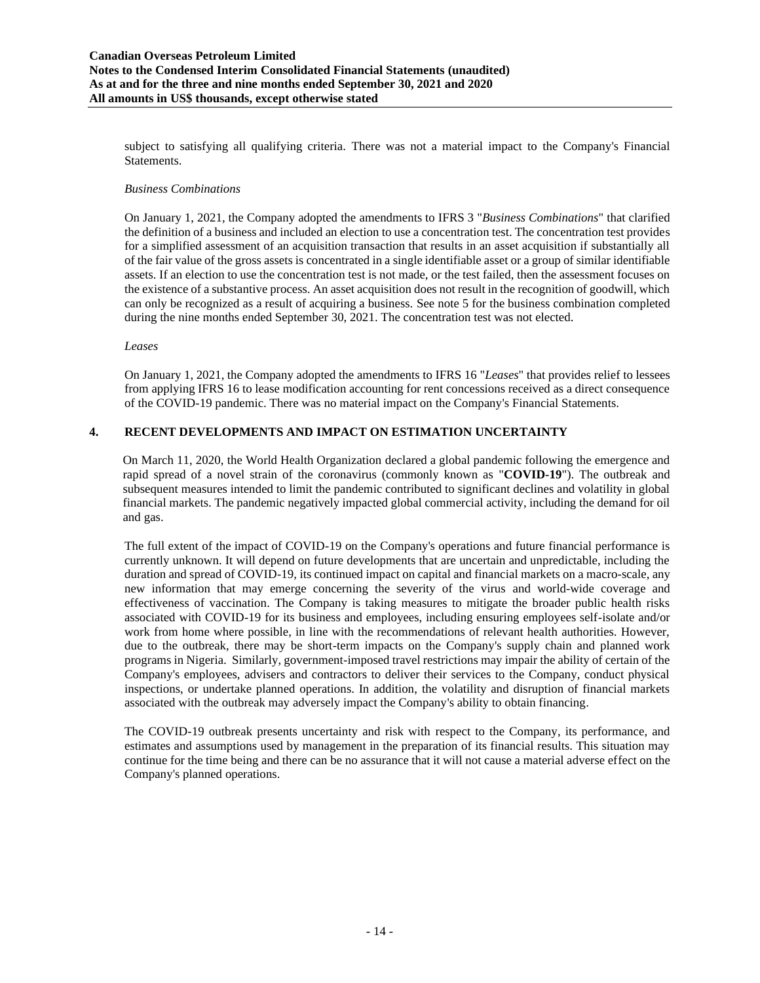subject to satisfying all qualifying criteria. There was not a material impact to the Company's Financial Statements.

### *Business Combinations*

On January 1, 2021, the Company adopted the amendments to IFRS 3 "*Business Combinations*" that clarified the definition of a business and included an election to use a concentration test. The concentration test provides for a simplified assessment of an acquisition transaction that results in an asset acquisition if substantially all of the fair value of the gross assets is concentrated in a single identifiable asset or a group of similar identifiable assets. If an election to use the concentration test is not made, or the test failed, then the assessment focuses on the existence of a substantive process. An asset acquisition does not result in the recognition of goodwill, which can only be recognized as a result of acquiring a business. See note 5 for the business combination completed during the nine months ended September 30, 2021. The concentration test was not elected.

### *Leases*

On January 1, 2021, the Company adopted the amendments to IFRS 16 "*Leases*" that provides relief to lessees from applying IFRS 16 to lease modification accounting for rent concessions received as a direct consequence of the COVID-19 pandemic. There was no material impact on the Company's Financial Statements.

### **4. RECENT DEVELOPMENTS AND IMPACT ON ESTIMATION UNCERTAINTY**

On March 11, 2020, the World Health Organization declared a global pandemic following the emergence and rapid spread of a novel strain of the coronavirus (commonly known as "**COVID-19**"). The outbreak and subsequent measures intended to limit the pandemic contributed to significant declines and volatility in global financial markets. The pandemic negatively impacted global commercial activity, including the demand for oil and gas.

The full extent of the impact of COVID-19 on the Company's operations and future financial performance is currently unknown. It will depend on future developments that are uncertain and unpredictable, including the duration and spread of COVID-19, its continued impact on capital and financial markets on a macro-scale, any new information that may emerge concerning the severity of the virus and world-wide coverage and effectiveness of vaccination. The Company is taking measures to mitigate the broader public health risks associated with COVID-19 for its business and employees, including ensuring employees self-isolate and/or work from home where possible, in line with the recommendations of relevant health authorities. However, due to the outbreak, there may be short-term impacts on the Company's supply chain and planned work programs in Nigeria. Similarly, government-imposed travel restrictions may impair the ability of certain of the Company's employees, advisers and contractors to deliver their services to the Company, conduct physical inspections, or undertake planned operations. In addition, the volatility and disruption of financial markets associated with the outbreak may adversely impact the Company's ability to obtain financing.

The COVID-19 outbreak presents uncertainty and risk with respect to the Company, its performance, and estimates and assumptions used by management in the preparation of its financial results. This situation may continue for the time being and there can be no assurance that it will not cause a material adverse effect on the Company's planned operations.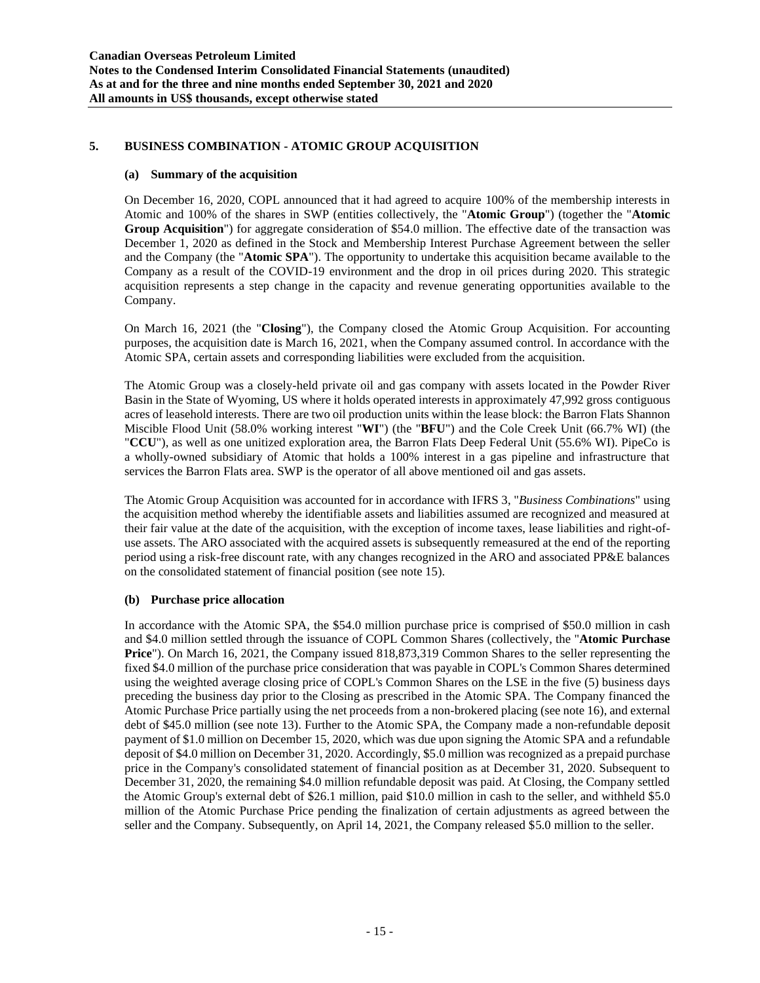### **5. BUSINESS COMBINATION - ATOMIC GROUP ACQUISITION**

#### **(a) Summary of the acquisition**

On December 16, 2020, COPL announced that it had agreed to acquire 100% of the membership interests in Atomic and 100% of the shares in SWP (entities collectively, the "**Atomic Group**") (together the "**Atomic Group Acquisition**") for aggregate consideration of \$54.0 million. The effective date of the transaction was December 1, 2020 as defined in the Stock and Membership Interest Purchase Agreement between the seller and the Company (the "**Atomic SPA**"). The opportunity to undertake this acquisition became available to the Company as a result of the COVID-19 environment and the drop in oil prices during 2020. This strategic acquisition represents a step change in the capacity and revenue generating opportunities available to the Company.

On March 16, 2021 (the "**Closing**"), the Company closed the Atomic Group Acquisition. For accounting purposes, the acquisition date is March 16, 2021, when the Company assumed control. In accordance with the Atomic SPA, certain assets and corresponding liabilities were excluded from the acquisition.

The Atomic Group was a closely-held private oil and gas company with assets located in the Powder River Basin in the State of Wyoming, US where it holds operated interests in approximately 47,992 gross contiguous acres of leasehold interests. There are two oil production units within the lease block: the Barron Flats Shannon Miscible Flood Unit (58.0% working interest "**WI**") (the "**BFU**") and the Cole Creek Unit (66.7% WI) (the "**CCU**"), as well as one unitized exploration area, the Barron Flats Deep Federal Unit (55.6% WI). PipeCo is a wholly-owned subsidiary of Atomic that holds a 100% interest in a gas pipeline and infrastructure that services the Barron Flats area. SWP is the operator of all above mentioned oil and gas assets.

The Atomic Group Acquisition was accounted for in accordance with IFRS 3, "*Business Combinations*" using the acquisition method whereby the identifiable assets and liabilities assumed are recognized and measured at their fair value at the date of the acquisition, with the exception of income taxes, lease liabilities and right-ofuse assets. The ARO associated with the acquired assets is subsequently remeasured at the end of the reporting period using a risk-free discount rate, with any changes recognized in the ARO and associated PP&E balances on the consolidated statement of financial position (see note 15).

#### **(b) Purchase price allocation**

In accordance with the Atomic SPA, the \$54.0 million purchase price is comprised of \$50.0 million in cash and \$4.0 million settled through the issuance of COPL Common Shares (collectively, the "**Atomic Purchase Price**"). On March 16, 2021, the Company issued 818,873,319 Common Shares to the seller representing the fixed \$4.0 million of the purchase price consideration that was payable in COPL's Common Shares determined using the weighted average closing price of COPL's Common Shares on the LSE in the five (5) business days preceding the business day prior to the Closing as prescribed in the Atomic SPA. The Company financed the Atomic Purchase Price partially using the net proceeds from a non-brokered placing (see note 16), and external debt of \$45.0 million (see note 13). Further to the Atomic SPA, the Company made a non-refundable deposit payment of \$1.0 million on December 15, 2020, which was due upon signing the Atomic SPA and a refundable deposit of \$4.0 million on December 31, 2020. Accordingly, \$5.0 million was recognized as a prepaid purchase price in the Company's consolidated statement of financial position as at December 31, 2020. Subsequent to December 31, 2020, the remaining \$4.0 million refundable deposit was paid. At Closing, the Company settled the Atomic Group's external debt of \$26.1 million, paid \$10.0 million in cash to the seller, and withheld \$5.0 million of the Atomic Purchase Price pending the finalization of certain adjustments as agreed between the seller and the Company. Subsequently, on April 14, 2021, the Company released \$5.0 million to the seller.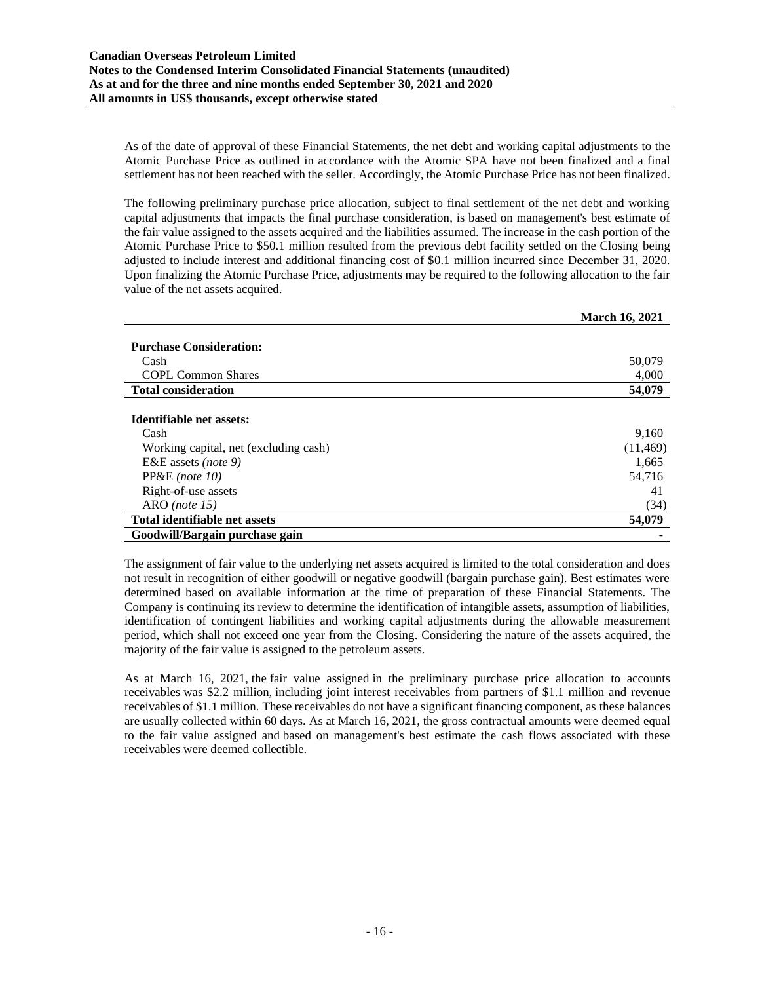As of the date of approval of these Financial Statements, the net debt and working capital adjustments to the Atomic Purchase Price as outlined in accordance with the Atomic SPA have not been finalized and a final settlement has not been reached with the seller. Accordingly, the Atomic Purchase Price has not been finalized.

The following preliminary purchase price allocation, subject to final settlement of the net debt and working capital adjustments that impacts the final purchase consideration, is based on management's best estimate of the fair value assigned to the assets acquired and the liabilities assumed. The increase in the cash portion of the Atomic Purchase Price to \$50.1 million resulted from the previous debt facility settled on the Closing being adjusted to include interest and additional financing cost of \$0.1 million incurred since December 31, 2020. Upon finalizing the Atomic Purchase Price, adjustments may be required to the following allocation to the fair value of the net assets acquired.

|                                       | <b>March 16, 2021</b> |
|---------------------------------------|-----------------------|
|                                       |                       |
| <b>Purchase Consideration:</b>        |                       |
| Cash                                  | 50,079                |
| <b>COPL Common Shares</b>             | 4,000                 |
| <b>Total consideration</b>            | 54,079                |
|                                       |                       |
| Identifiable net assets:              |                       |
| Cash                                  | 9,160                 |
| Working capital, net (excluding cash) | (11, 469)             |
| E&E assets ( <i>note</i> 9)           | 1,665                 |
| $PP&E$ (note 10)                      | 54,716                |
| Right-of-use assets                   | 41                    |
| $ARO$ (note 15)                       | (34)                  |
| Total identifiable net assets         | 54,079                |
| Goodwill/Bargain purchase gain        |                       |

The assignment of fair value to the underlying net assets acquired is limited to the total consideration and does not result in recognition of either goodwill or negative goodwill (bargain purchase gain). Best estimates were determined based on available information at the time of preparation of these Financial Statements. The Company is continuing its review to determine the identification of intangible assets, assumption of liabilities, identification of contingent liabilities and working capital adjustments during the allowable measurement period, which shall not exceed one year from the Closing. Considering the nature of the assets acquired, the majority of the fair value is assigned to the petroleum assets.

As at March 16, 2021, the fair value assigned in the preliminary purchase price allocation to accounts receivables was \$2.2 million, including joint interest receivables from partners of \$1.1 million and revenue receivables of \$1.1 million. These receivables do not have a significant financing component, as these balances are usually collected within 60 days. As at March 16, 2021, the gross contractual amounts were deemed equal to the fair value assigned and based on management's best estimate the cash flows associated with these receivables were deemed collectible.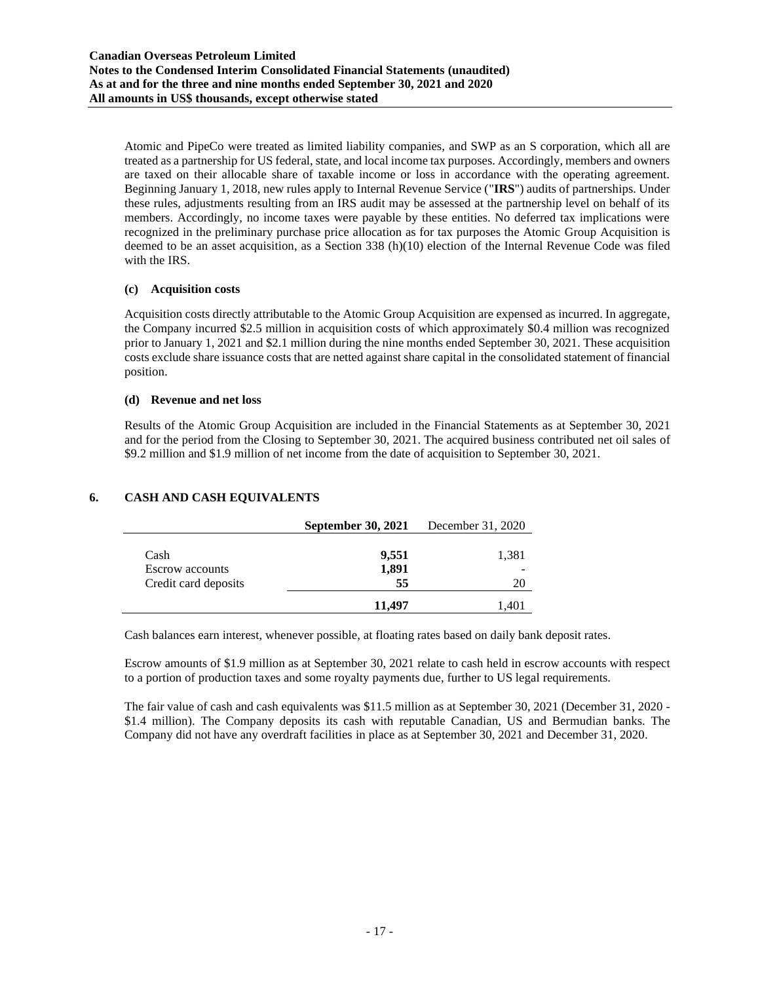Atomic and PipeCo were treated as limited liability companies, and SWP as an S corporation, which all are treated as a partnership for US federal, state, and local income tax purposes. Accordingly, members and owners are taxed on their allocable share of taxable income or loss in accordance with the operating agreement. Beginning January 1, 2018, new rules apply to Internal Revenue Service ("**IRS**") audits of partnerships. Under these rules, adjustments resulting from an IRS audit may be assessed at the partnership level on behalf of its members. Accordingly, no income taxes were payable by these entities. No deferred tax implications were recognized in the preliminary purchase price allocation as for tax purposes the Atomic Group Acquisition is deemed to be an asset acquisition, as a Section 338 (h)(10) election of the Internal Revenue Code was filed with the IRS.

### **(c) Acquisition costs**

Acquisition costs directly attributable to the Atomic Group Acquisition are expensed as incurred. In aggregate, the Company incurred \$2.5 million in acquisition costs of which approximately \$0.4 million was recognized prior to January 1, 2021 and \$2.1 million during the nine months ended September 30, 2021. These acquisition costs exclude share issuance costs that are netted against share capital in the consolidated statement of financial position.

### **(d) Revenue and net loss**

Results of the Atomic Group Acquisition are included in the Financial Statements as at September 30, 2021 and for the period from the Closing to September 30, 2021. The acquired business contributed net oil sales of \$9.2 million and \$1.9 million of net income from the date of acquisition to September 30, 2021.

|                                | <b>September 30, 2021</b> | December 31, 2020 |
|--------------------------------|---------------------------|-------------------|
| Cash<br><b>Escrow</b> accounts | 9,551<br>1,891            | 1,381             |
| Credit card deposits           | 55                        | 20                |
|                                | 11.497                    | 1,401             |

### **6. CASH AND CASH EQUIVALENTS**

Cash balances earn interest, whenever possible, at floating rates based on daily bank deposit rates.

Escrow amounts of \$1.9 million as at September 30, 2021 relate to cash held in escrow accounts with respect to a portion of production taxes and some royalty payments due, further to US legal requirements.

The fair value of cash and cash equivalents was \$11.5 million as at September 30, 2021 (December 31, 2020 - \$1.4 million). The Company deposits its cash with reputable Canadian, US and Bermudian banks. The Company did not have any overdraft facilities in place as at September 30, 2021 and December 31, 2020.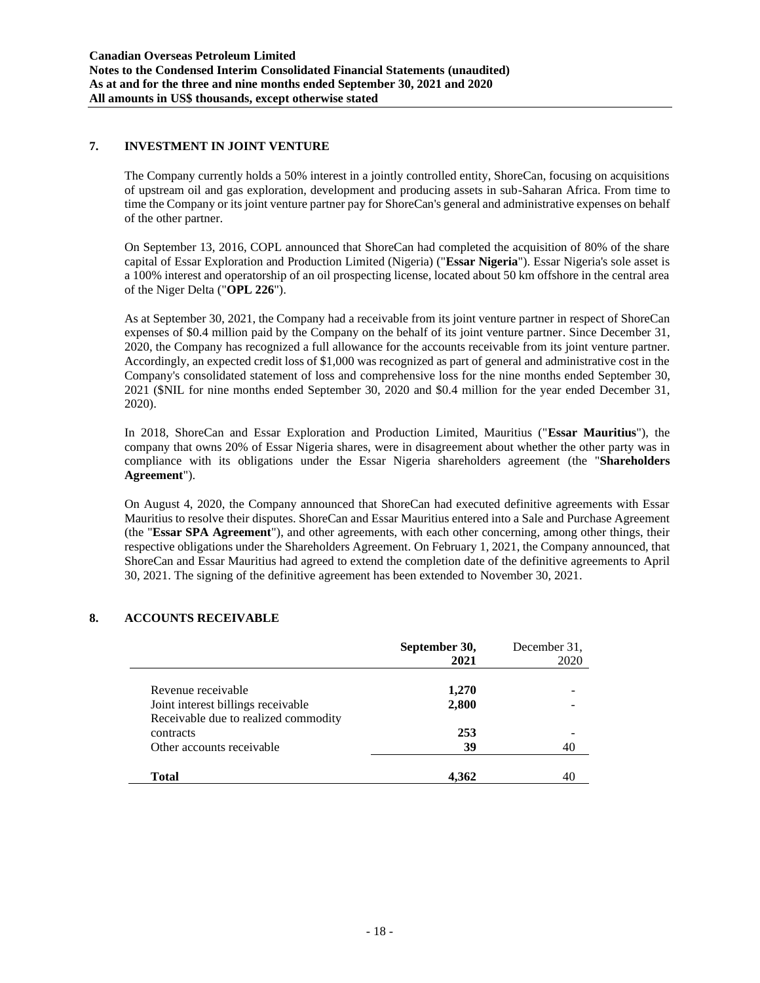### **7. INVESTMENT IN JOINT VENTURE**

The Company currently holds a 50% interest in a jointly controlled entity, ShoreCan, focusing on acquisitions of upstream oil and gas exploration, development and producing assets in sub-Saharan Africa. From time to time the Company or its joint venture partner pay for ShoreCan's general and administrative expenses on behalf of the other partner.

On September 13, 2016, COPL announced that ShoreCan had completed the acquisition of 80% of the share capital of Essar Exploration and Production Limited (Nigeria) ("**Essar Nigeria**"). Essar Nigeria's sole asset is a 100% interest and operatorship of an oil prospecting license, located about 50 km offshore in the central area of the Niger Delta ("**OPL 226**").

As at September 30, 2021, the Company had a receivable from its joint venture partner in respect of ShoreCan expenses of \$0.4 million paid by the Company on the behalf of its joint venture partner. Since December 31, 2020, the Company has recognized a full allowance for the accounts receivable from its joint venture partner. Accordingly, an expected credit loss of \$1,000 was recognized as part of general and administrative cost in the Company's consolidated statement of loss and comprehensive loss for the nine months ended September 30, 2021 (\$NIL for nine months ended September 30, 2020 and \$0.4 million for the year ended December 31, 2020).

In 2018, ShoreCan and Essar Exploration and Production Limited, Mauritius ("**Essar Mauritius**"), the company that owns 20% of Essar Nigeria shares, were in disagreement about whether the other party was in compliance with its obligations under the Essar Nigeria shareholders agreement (the "**Shareholders Agreement**").

On August 4, 2020, the Company announced that ShoreCan had executed definitive agreements with Essar Mauritius to resolve their disputes. ShoreCan and Essar Mauritius entered into a Sale and Purchase Agreement (the "**Essar SPA Agreement**"), and other agreements, with each other concerning, among other things, their respective obligations under the Shareholders Agreement. On February 1, 2021, the Company announced, that ShoreCan and Essar Mauritius had agreed to extend the completion date of the definitive agreements to April 30, 2021. The signing of the definitive agreement has been extended to November 30, 2021.

### **8. ACCOUNTS RECEIVABLE**

|                                                                                | September 30,<br>2021 | December 31.<br>2020 |
|--------------------------------------------------------------------------------|-----------------------|----------------------|
| Revenue receivable<br>Joint interest billings receivable                       | 1,270<br>2,800        |                      |
| Receivable due to realized commodity<br>contracts<br>Other accounts receivable | 253<br>39             | 40                   |
| Total                                                                          | 4.362                 | 40                   |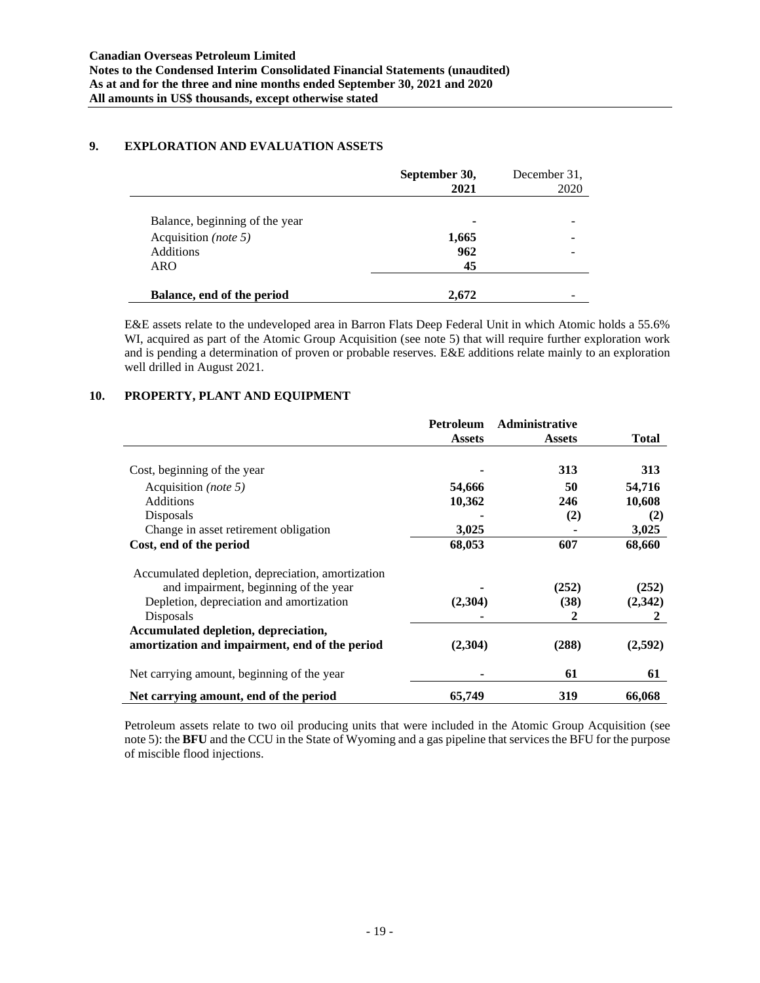### **9. EXPLORATION AND EVALUATION ASSETS**

L.

÷

|                                | September 30,<br>2021 | December 31.<br>2020 |
|--------------------------------|-----------------------|----------------------|
| Balance, beginning of the year |                       |                      |
| Acquisition (note 5)           | 1,665                 | -                    |
| <b>Additions</b>               | 962                   |                      |
| ARO                            | 45                    |                      |
| Balance, end of the period     | 2.672                 |                      |

E&E assets relate to the undeveloped area in Barron Flats Deep Federal Unit in which Atomic holds a 55.6% WI, acquired as part of the Atomic Group Acquisition (see note 5) that will require further exploration work and is pending a determination of proven or probable reserves. E&E additions relate mainly to an exploration well drilled in August 2021.

### **10. PROPERTY, PLANT AND EQUIPMENT**

|                                                   | Petroleum     | <b>Administrative</b> |         |
|---------------------------------------------------|---------------|-----------------------|---------|
|                                                   | <b>Assets</b> | <b>Assets</b>         | Total   |
| Cost, beginning of the year                       |               | 313                   | 313     |
| Acquisition ( <i>note</i> 5)                      | 54,666        | 50                    | 54,716  |
| <b>Additions</b>                                  | 10,362        | 246                   | 10,608  |
| Disposals                                         |               | (2)                   | (2)     |
| Change in asset retirement obligation             | 3,025         |                       | 3,025   |
| Cost, end of the period                           | 68,053        | 607                   | 68,660  |
| Accumulated depletion, depreciation, amortization |               |                       |         |
| and impairment, beginning of the year             |               | (252)                 | (252)   |
| Depletion, depreciation and amortization          | (2,304)       | (38)                  | (2,342) |
| Disposals                                         |               | 2                     | 2       |
| Accumulated depletion, depreciation,              |               |                       |         |
| amortization and impairment, end of the period    | (2,304)       | (288)                 | (2,592) |
| Net carrying amount, beginning of the year        |               | 61                    | 61      |
| Net carrying amount, end of the period            | 65,749        | 319                   | 66,068  |

Petroleum assets relate to two oil producing units that were included in the Atomic Group Acquisition (see note 5): the **BFU** and the CCU in the State of Wyoming and a gas pipeline that services the BFU for the purpose of miscible flood injections.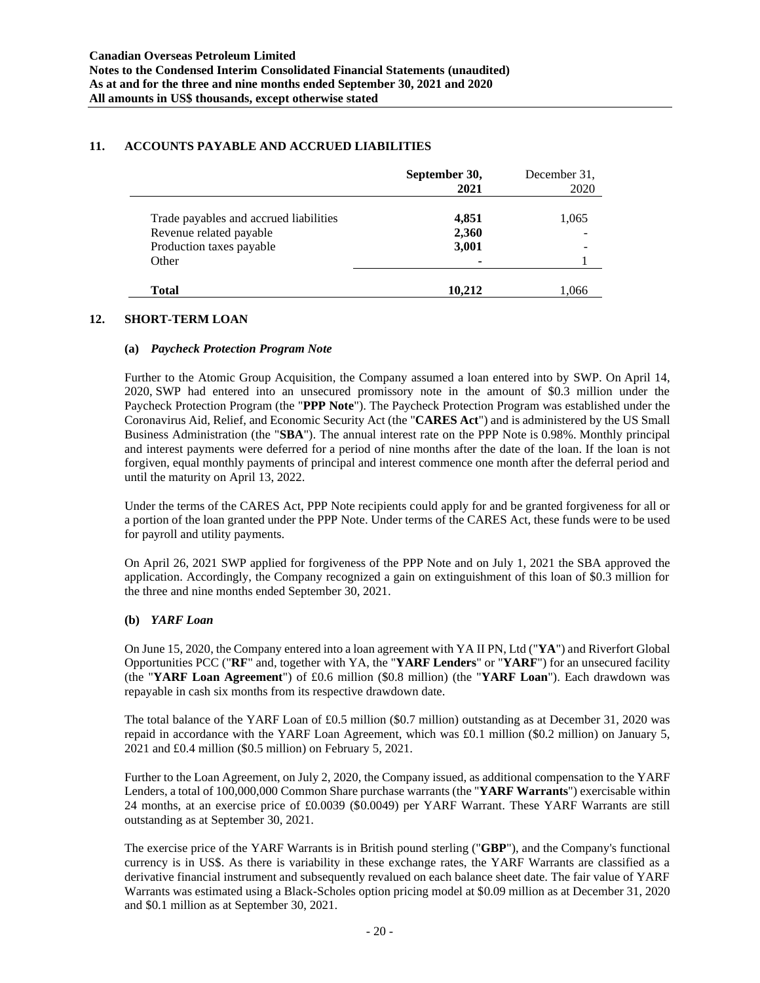### **11. ACCOUNTS PAYABLE AND ACCRUED LIABILITIES**

|                                        | September 30,<br>2021 | December 31.<br>2020 |
|----------------------------------------|-----------------------|----------------------|
| Trade payables and accrued liabilities | 4,851                 | 1,065                |
| Revenue related payable                | 2,360                 |                      |
| Production taxes payable               | 3,001                 |                      |
| Other                                  |                       |                      |
|                                        |                       |                      |
| Total                                  | 10.212                | 1,066                |

### **12. SHORT-TERM LOAN**

#### **(a)** *Paycheck Protection Program Note*

Further to the Atomic Group Acquisition, the Company assumed a loan entered into by SWP. On April 14, 2020, SWP had entered into an unsecured promissory note in the amount of \$0.3 million under the Paycheck Protection Program (the "**PPP Note**"). The Paycheck Protection Program was established under the Coronavirus Aid, Relief, and Economic Security Act (the "**CARES Act**") and is administered by the US Small Business Administration (the "**SBA**"). The annual interest rate on the PPP Note is 0.98%. Monthly principal and interest payments were deferred for a period of nine months after the date of the loan. If the loan is not forgiven, equal monthly payments of principal and interest commence one month after the deferral period and until the maturity on April 13, 2022.

Under the terms of the CARES Act, PPP Note recipients could apply for and be granted forgiveness for all or a portion of the loan granted under the PPP Note. Under terms of the CARES Act, these funds were to be used for payroll and utility payments.

On April 26, 2021 SWP applied for forgiveness of the PPP Note and on July 1, 2021 the SBA approved the application. Accordingly, the Company recognized a gain on extinguishment of this loan of \$0.3 million for the three and nine months ended September 30, 2021.

### **(b)** *YARF Loan*

On June 15, 2020, the Company entered into a loan agreement with YA II PN, Ltd ("**YA**") and Riverfort Global Opportunities PCC ("**RF**" and, together with YA, the "**YARF Lenders**" or "**YARF**") for an unsecured facility (the "**YARF Loan Agreement**") of £0.6 million (\$0.8 million) (the "**YARF Loan**"). Each drawdown was repayable in cash six months from its respective drawdown date.

The total balance of the YARF Loan of £0.5 million (\$0.7 million) outstanding as at December 31, 2020 was repaid in accordance with the YARF Loan Agreement, which was £0.1 million (\$0.2 million) on January 5, 2021 and £0.4 million (\$0.5 million) on February 5, 2021.

Further to the Loan Agreement, on July 2, 2020, the Company issued, as additional compensation to the YARF Lenders, a total of 100,000,000 Common Share purchase warrants (the "**YARF Warrants**") exercisable within 24 months, at an exercise price of £0.0039 (\$0.0049) per YARF Warrant. These YARF Warrants are still outstanding as at September 30, 2021.

The exercise price of the YARF Warrants is in British pound sterling ("**GBP**"), and the Company's functional currency is in US\$. As there is variability in these exchange rates, the YARF Warrants are classified as a derivative financial instrument and subsequently revalued on each balance sheet date. The fair value of YARF Warrants was estimated using a Black-Scholes option pricing model at \$0.09 million as at December 31, 2020 and \$0.1 million as at September 30, 2021.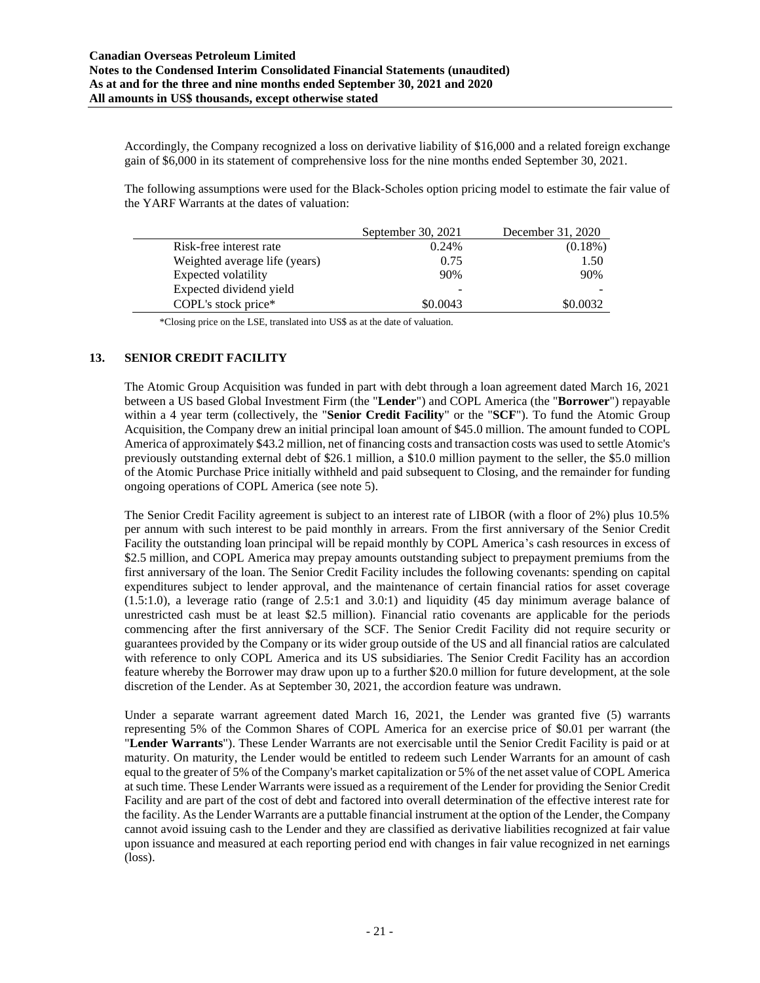Accordingly, the Company recognized a loss on derivative liability of \$16,000 and a related foreign exchange gain of \$6,000 in its statement of comprehensive loss for the nine months ended September 30, 2021.

The following assumptions were used for the Black-Scholes option pricing model to estimate the fair value of the YARF Warrants at the dates of valuation:

|                               | September 30, 2021 | December 31, 2020 |
|-------------------------------|--------------------|-------------------|
| Risk-free interest rate       | 0.24%              | $(0.18\%)$        |
| Weighted average life (years) | 0.75               | 1.50              |
| Expected volatility           | 90%                | 90%               |
| Expected dividend yield       |                    |                   |
| COPL's stock price*           | \$0.0043           | \$0.0032          |

\*Closing price on the LSE, translated into US\$ as at the date of valuation.

### **13. SENIOR CREDIT FACILITY**

The Atomic Group Acquisition was funded in part with debt through a loan agreement dated March 16, 2021 between a US based Global Investment Firm (the "**Lender**") and COPL America (the "**Borrower**") repayable within a 4 year term (collectively, the "**Senior Credit Facility**" or the "**SCF**"). To fund the Atomic Group Acquisition, the Company drew an initial principal loan amount of \$45.0 million. The amount funded to COPL America of approximately \$43.2 million, net of financing costs and transaction costs was used to settle Atomic's previously outstanding external debt of \$26.1 million, a \$10.0 million payment to the seller, the \$5.0 million of the Atomic Purchase Price initially withheld and paid subsequent to Closing, and the remainder for funding ongoing operations of COPL America (see note 5).

The Senior Credit Facility agreement is subject to an interest rate of LIBOR (with a floor of 2%) plus 10.5% per annum with such interest to be paid monthly in arrears. From the first anniversary of the Senior Credit Facility the outstanding loan principal will be repaid monthly by COPL America's cash resources in excess of \$2.5 million, and COPL America may prepay amounts outstanding subject to prepayment premiums from the first anniversary of the loan. The Senior Credit Facility includes the following covenants: spending on capital expenditures subject to lender approval, and the maintenance of certain financial ratios for asset coverage (1.5:1.0), a leverage ratio (range of 2.5:1 and 3.0:1) and liquidity (45 day minimum average balance of unrestricted cash must be at least \$2.5 million). Financial ratio covenants are applicable for the periods commencing after the first anniversary of the SCF. The Senior Credit Facility did not require security or guarantees provided by the Company or its wider group outside of the US and all financial ratios are calculated with reference to only COPL America and its US subsidiaries. The Senior Credit Facility has an accordion feature whereby the Borrower may draw upon up to a further \$20.0 million for future development, at the sole discretion of the Lender. As at September 30, 2021, the accordion feature was undrawn.

Under a separate warrant agreement dated March 16, 2021, the Lender was granted five (5) warrants representing 5% of the Common Shares of COPL America for an exercise price of \$0.01 per warrant (the "**Lender Warrants**"). These Lender Warrants are not exercisable until the Senior Credit Facility is paid or at maturity. On maturity, the Lender would be entitled to redeem such Lender Warrants for an amount of cash equal to the greater of 5% of the Company's market capitalization or 5% of the net asset value of COPL America at such time. These Lender Warrants were issued as a requirement of the Lender for providing the Senior Credit Facility and are part of the cost of debt and factored into overall determination of the effective interest rate for the facility. As the Lender Warrants are a puttable financial instrument at the option of the Lender, the Company cannot avoid issuing cash to the Lender and they are classified as derivative liabilities recognized at fair value upon issuance and measured at each reporting period end with changes in fair value recognized in net earnings (loss).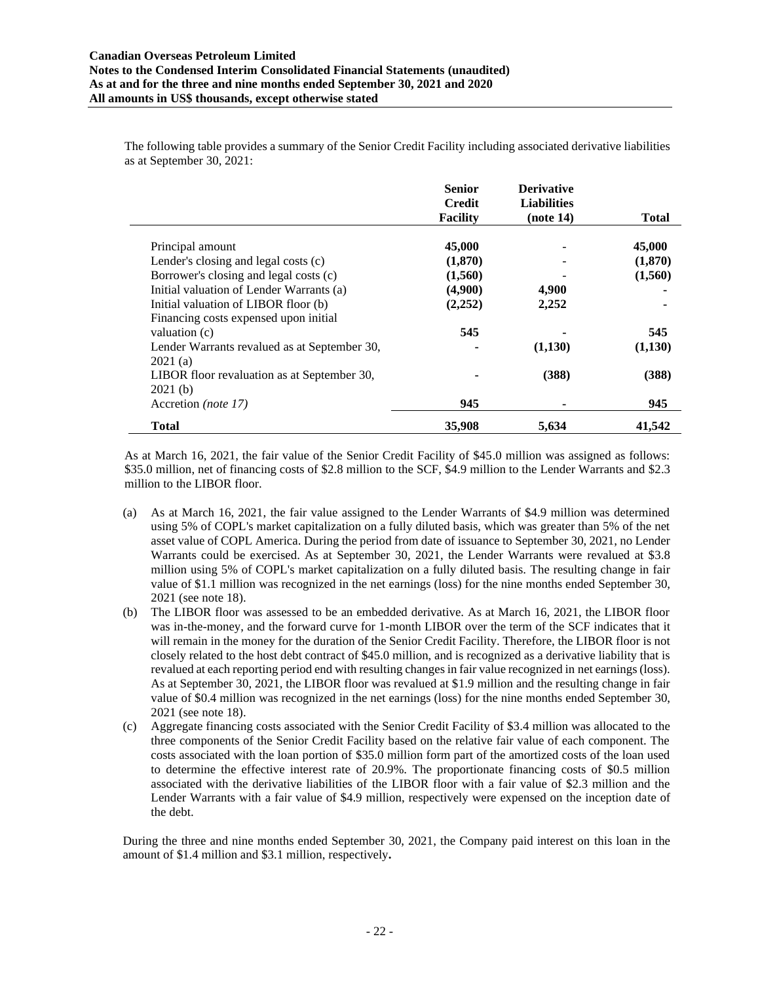The following table provides a summary of the Senior Credit Facility including associated derivative liabilities as at September 30, 2021:

|                                              | <b>Senior</b>   | <b>Derivative</b>  |              |
|----------------------------------------------|-----------------|--------------------|--------------|
|                                              | <b>Credit</b>   | <b>Liabilities</b> |              |
|                                              | <b>Facility</b> | (note 14)          | <b>Total</b> |
|                                              |                 |                    |              |
| Principal amount                             | 45,000          |                    | 45,000       |
| Lender's closing and legal costs (c)         | (1,870)         |                    | (1,870)      |
| Borrower's closing and legal costs (c)       | (1,560)         |                    | (1,560)      |
| Initial valuation of Lender Warrants (a)     | (4,900)         | 4,900              |              |
| Initial valuation of LIBOR floor (b)         | (2,252)         | 2,252              |              |
| Financing costs expensed upon initial        |                 |                    |              |
| valuation (c)                                | 545             |                    | 545          |
| Lender Warrants revalued as at September 30, |                 | (1,130)            | (1,130)      |
| 2021(a)                                      |                 |                    |              |
| LIBOR floor revaluation as at September 30,  |                 | (388)              | (388)        |
| 2021(b)                                      |                 |                    |              |
| Accretion (note 17)                          | 945             |                    | 945          |
| Total                                        | 35,908          | 5,634              | 41,542       |

As at March 16, 2021, the fair value of the Senior Credit Facility of \$45.0 million was assigned as follows: \$35.0 million, net of financing costs of \$2.8 million to the SCF, \$4.9 million to the Lender Warrants and \$2.3 million to the LIBOR floor.

- (a) As at March 16, 2021, the fair value assigned to the Lender Warrants of \$4.9 million was determined using 5% of COPL's market capitalization on a fully diluted basis, which was greater than 5% of the net asset value of COPL America. During the period from date of issuance to September 30, 2021, no Lender Warrants could be exercised. As at September 30, 2021, the Lender Warrants were revalued at \$3.8 million using 5% of COPL's market capitalization on a fully diluted basis. The resulting change in fair value of \$1.1 million was recognized in the net earnings (loss) for the nine months ended September 30, 2021 (see note 18).
- (b) The LIBOR floor was assessed to be an embedded derivative. As at March 16, 2021, the LIBOR floor was in-the-money, and the forward curve for 1-month LIBOR over the term of the SCF indicates that it will remain in the money for the duration of the Senior Credit Facility. Therefore, the LIBOR floor is not closely related to the host debt contract of \$45.0 million, and is recognized as a derivative liability that is revalued at each reporting period end with resulting changes in fair value recognized in net earnings (loss). As at September 30, 2021, the LIBOR floor was revalued at \$1.9 million and the resulting change in fair value of \$0.4 million was recognized in the net earnings (loss) for the nine months ended September 30, 2021 (see note 18).
- Aggregate financing costs associated with the Senior Credit Facility of \$3.4 million was allocated to the three components of the Senior Credit Facility based on the relative fair value of each component. The costs associated with the loan portion of \$35.0 million form part of the amortized costs of the loan used to determine the effective interest rate of 20.9%. The proportionate financing costs of \$0.5 million associated with the derivative liabilities of the LIBOR floor with a fair value of \$2.3 million and the Lender Warrants with a fair value of \$4.9 million, respectively were expensed on the inception date of the debt.

During the three and nine months ended September 30, 2021, the Company paid interest on this loan in the amount of \$1.4 million and \$3.1 million, respectively**.**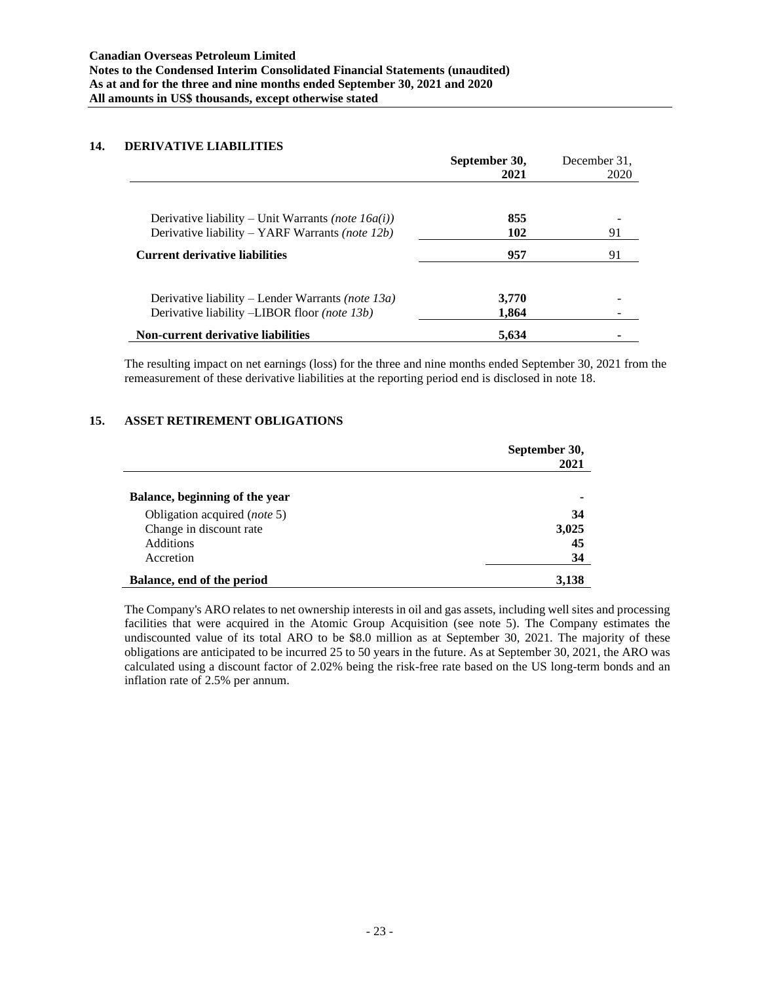### **14. DERIVATIVE LIABILITIES**

|                                                           | September 30,<br>2021 | December 31.<br>2020 |
|-----------------------------------------------------------|-----------------------|----------------------|
|                                                           |                       |                      |
| Derivative liability – Unit Warrants <i>(note 16a(i))</i> | 855                   |                      |
| Derivative liability – YARF Warrants <i>(note 12b)</i>    | 102                   | 91                   |
| <b>Current derivative liabilities</b>                     | 957                   | 91                   |
| Derivative liability – Lender Warrants <i>(note 13a)</i>  | 3,770                 |                      |
| Derivative liability –LIBOR floor (note 13b)              | 1.864                 |                      |
| <b>Non-current derivative liabilities</b>                 | 5,634                 |                      |

The resulting impact on net earnings (loss) for the three and nine months ended September 30, 2021 from the remeasurement of these derivative liabilities at the reporting period end is disclosed in note 18.

#### **15. ASSET RETIREMENT OBLIGATIONS**

|                                | September 30,<br>2021 |
|--------------------------------|-----------------------|
| Balance, beginning of the year |                       |
| Obligation acquired (note 5)   | 34                    |
| Change in discount rate        | 3,025                 |
| <b>Additions</b>               | 45                    |
| Accretion                      | 34                    |
| Balance, end of the period     | 3,138                 |

The Company's ARO relates to net ownership interests in oil and gas assets, including well sites and processing facilities that were acquired in the Atomic Group Acquisition (see note 5). The Company estimates the undiscounted value of its total ARO to be \$8.0 million as at September 30, 2021. The majority of these obligations are anticipated to be incurred 25 to 50 years in the future. As at September 30, 2021, the ARO was calculated using a discount factor of 2.02% being the risk-free rate based on the US long-term bonds and an inflation rate of 2.5% per annum.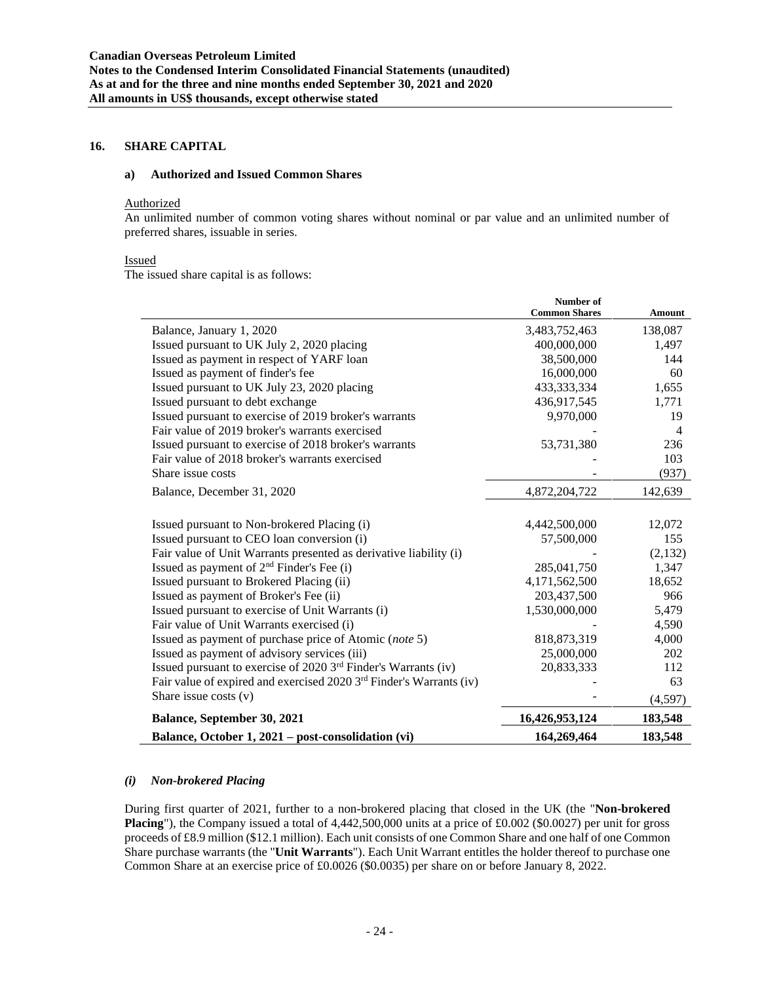### **16. SHARE CAPITAL**

#### **a) Authorized and Issued Common Shares**

### Authorized

An unlimited number of common voting shares without nominal or par value and an unlimited number of preferred shares, issuable in series.

#### Issued

The issued share capital is as follows:

|                                                                                 | Number of<br><b>Common Shares</b> | Amount  |
|---------------------------------------------------------------------------------|-----------------------------------|---------|
| Balance, January 1, 2020                                                        | 3,483,752,463                     | 138,087 |
| Issued pursuant to UK July 2, 2020 placing                                      | 400,000,000                       | 1,497   |
| Issued as payment in respect of YARF loan                                       | 38,500,000                        | 144     |
| Issued as payment of finder's fee                                               | 16,000,000                        | 60      |
| Issued pursuant to UK July 23, 2020 placing                                     | 433,333,334                       | 1,655   |
| Issued pursuant to debt exchange                                                | 436,917,545                       | 1,771   |
| Issued pursuant to exercise of 2019 broker's warrants                           | 9,970,000                         | 19      |
| Fair value of 2019 broker's warrants exercised                                  |                                   | 4       |
| Issued pursuant to exercise of 2018 broker's warrants                           | 53,731,380                        | 236     |
| Fair value of 2018 broker's warrants exercised                                  |                                   | 103     |
| Share issue costs                                                               |                                   | (937)   |
| Balance, December 31, 2020                                                      | 4,872,204,722                     | 142,639 |
| Issued pursuant to Non-brokered Placing (i)                                     | 4,442,500,000                     | 12,072  |
| Issued pursuant to CEO loan conversion (i)                                      | 57,500,000                        | 155     |
| Fair value of Unit Warrants presented as derivative liability (i)               |                                   | (2,132) |
| Issued as payment of 2 <sup>nd</sup> Finder's Fee (i)                           | 285,041,750                       | 1,347   |
| Issued pursuant to Brokered Placing (ii)                                        | 4,171,562,500                     | 18,652  |
| Issued as payment of Broker's Fee (ii)                                          | 203,437,500                       | 966     |
| Issued pursuant to exercise of Unit Warrants (i)                                | 1,530,000,000                     | 5,479   |
| Fair value of Unit Warrants exercised (i)                                       |                                   | 4,590   |
| Issued as payment of purchase price of Atomic (note 5)                          | 818,873,319                       | 4,000   |
| Issued as payment of advisory services (iii)                                    | 25,000,000                        | 202     |
| Issued pursuant to exercise of 2020 3 <sup>rd</sup> Finder's Warrants (iv)      | 20,833,333                        | 112     |
| Fair value of expired and exercised 2020 3 <sup>rd</sup> Finder's Warrants (iv) |                                   | 63      |
| Share issue costs $(v)$                                                         |                                   | (4,597) |
| <b>Balance, September 30, 2021</b>                                              | 16,426,953,124                    | 183,548 |
| Balance, October 1, 2021 – post-consolidation (vi)                              | 164,269,464                       | 183,548 |

#### *(i) Non-brokered Placing*

During first quarter of 2021, further to a non-brokered placing that closed in the UK (the "**Non-brokered Placing**"), the Company issued a total of 4,442,500,000 units at a price of £0.002 (\$0.0027) per unit for gross proceeds of £8.9 million (\$12.1 million). Each unit consists of one Common Share and one half of one Common Share purchase warrants (the "**Unit Warrants**"). Each Unit Warrant entitles the holder thereof to purchase one Common Share at an exercise price of £0.0026 (\$0.0035) per share on or before January 8, 2022.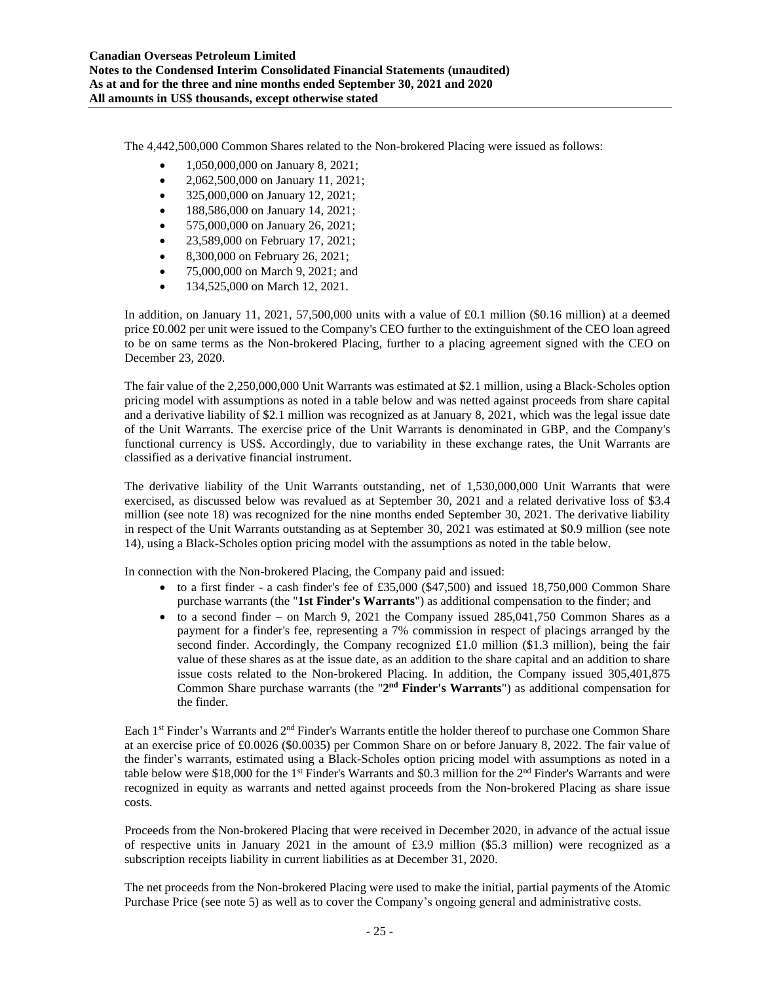The 4,442,500,000 Common Shares related to the Non-brokered Placing were issued as follows:

- 1,050,000,000 on January 8, 2021;
- 2,062,500,000 on January 11, 2021;
- 325,000,000 on January 12, 2021;
- 188,586,000 on January 14, 2021;
- 575,000,000 on January 26, 2021;
- 23,589,000 on February 17, 2021;
- 8,300,000 on February 26, 2021;
- 75,000,000 on March 9, 2021; and
- 134,525,000 on March 12, 2021.

In addition, on January 11, 2021, 57,500,000 units with a value of £0.1 million (\$0.16 million) at a deemed price £0.002 per unit were issued to the Company's CEO further to the extinguishment of the CEO loan agreed to be on same terms as the Non-brokered Placing, further to a placing agreement signed with the CEO on December 23, 2020.

The fair value of the 2,250,000,000 Unit Warrants was estimated at \$2.1 million, using a Black-Scholes option pricing model with assumptions as noted in a table below and was netted against proceeds from share capital and a derivative liability of \$2.1 million was recognized as at January 8, 2021, which was the legal issue date of the Unit Warrants. The exercise price of the Unit Warrants is denominated in GBP, and the Company's functional currency is US\$. Accordingly, due to variability in these exchange rates, the Unit Warrants are classified as a derivative financial instrument.

The derivative liability of the Unit Warrants outstanding, net of 1,530,000,000 Unit Warrants that were exercised, as discussed below was revalued as at September 30, 2021 and a related derivative loss of \$3.4 million (see note 18) was recognized for the nine months ended September 30, 2021. The derivative liability in respect of the Unit Warrants outstanding as at September 30, 2021 was estimated at \$0.9 million (see note 14), using a Black-Scholes option pricing model with the assumptions as noted in the table below.

In connection with the Non-brokered Placing, the Company paid and issued:

- to a first finder a cash finder's fee of £35,000 (\$47,500) and issued 18,750,000 Common Share purchase warrants (the "**1st Finder's Warrants**") as additional compensation to the finder; and
- to a second finder on March 9, 2021 the Company issued  $285.041.750$  Common Shares as a payment for a finder's fee, representing a 7% commission in respect of placings arranged by the second finder. Accordingly, the Company recognized £1.0 million (\$1.3 million), being the fair value of these shares as at the issue date, as an addition to the share capital and an addition to share issue costs related to the Non-brokered Placing. In addition, the Company issued 305,401,875 Common Share purchase warrants (the "2<sup>nd</sup> Finder's Warrants") as additional compensation for the finder.

Each 1st Finder's Warrants and 2nd Finder's Warrants entitle the holder thereof to purchase one Common Share at an exercise price of £0.0026 (\$0.0035) per Common Share on or before January 8, 2022. The fair value of the finder's warrants, estimated using a Black-Scholes option pricing model with assumptions as noted in a table below were \$18,000 for the 1<sup>st</sup> Finder's Warrants and \$0.3 million for the  $2<sup>nd</sup>$  Finder's Warrants and were recognized in equity as warrants and netted against proceeds from the Non-brokered Placing as share issue costs.

Proceeds from the Non-brokered Placing that were received in December 2020, in advance of the actual issue of respective units in January 2021 in the amount of £3.9 million (\$5.3 million) were recognized as a subscription receipts liability in current liabilities as at December 31, 2020.

The net proceeds from the Non-brokered Placing were used to make the initial, partial payments of the Atomic Purchase Price (see note 5) as well as to cover the Company's ongoing general and administrative costs.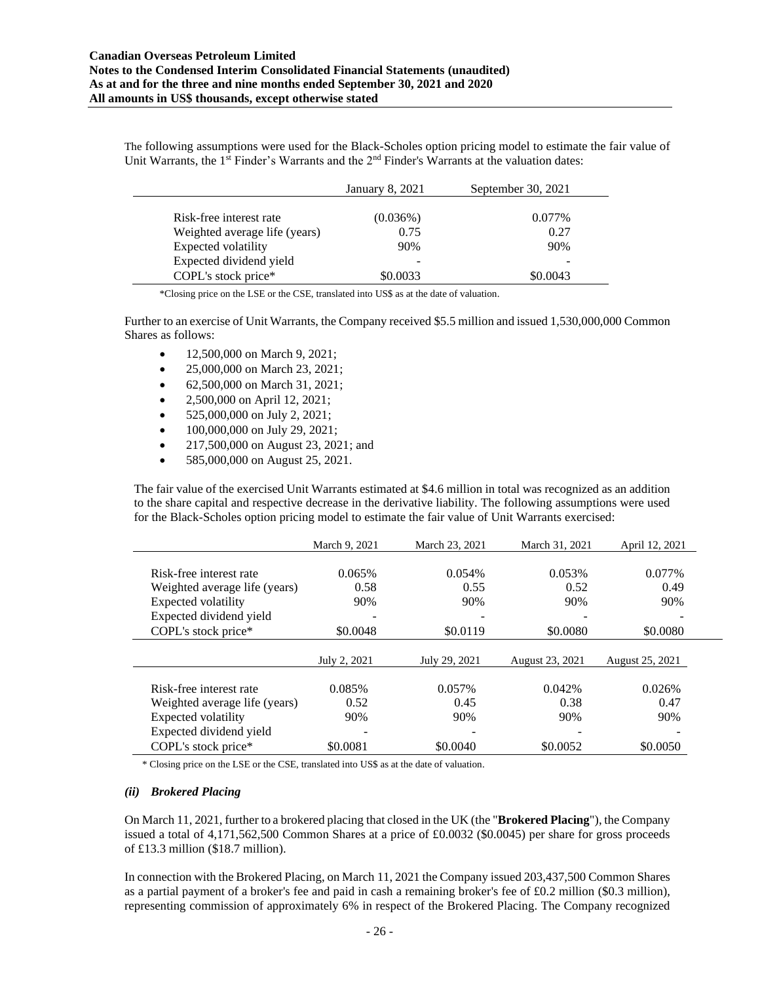The following assumptions were used for the Black-Scholes option pricing model to estimate the fair value of Unit Warrants, the 1<sup>st</sup> Finder's Warrants and the  $2<sup>nd</sup>$  Finder's Warrants at the valuation dates:

|                               | January 8, 2021 | September 30, 2021 |
|-------------------------------|-----------------|--------------------|
|                               |                 |                    |
| Risk-free interest rate       | $(0.036\%)$     | 0.077%             |
| Weighted average life (years) | 0.75            | 0.27               |
| Expected volatility           | 90%             | 90%                |
| Expected dividend yield       |                 |                    |
| COPL's stock price*           | \$0.0033        | \$0.0043           |

\*Closing price on the LSE or the CSE, translated into US\$ as at the date of valuation.

Further to an exercise of Unit Warrants, the Company received \$5.5 million and issued 1,530,000,000 Common Shares as follows:

- 12,500,000 on March 9, 2021;
- 25,000,000 on March 23, 2021;
- 62,500,000 on March 31, 2021;
- 2,500,000 on April 12, 2021;
- 525,000,000 on July 2, 2021;
- 100,000,000 on July 29, 2021;
- 217,500,000 on August 23, 2021; and
- 585,000,000 on August 25, 2021.

The fair value of the exercised Unit Warrants estimated at \$4.6 million in total was recognized as an addition to the share capital and respective decrease in the derivative liability. The following assumptions were used for the Black-Scholes option pricing model to estimate the fair value of Unit Warrants exercised:

|                               | March 9, 2021 | March 23, 2021 | March 31, 2021  | April 12, 2021  |
|-------------------------------|---------------|----------------|-----------------|-----------------|
| Risk-free interest rate       | 0.065%        | 0.054%         | 0.053%          | 0.077%          |
| Weighted average life (years) | 0.58          | 0.55           | 0.52            | 0.49            |
| Expected volatility           | 90%           | 90%            | 90%             | 90%             |
| Expected dividend yield       |               |                |                 |                 |
| COPL's stock price*           | \$0.0048      | \$0.0119       | \$0.0080        | \$0.0080        |
|                               |               |                |                 |                 |
|                               | July 2, 2021  | July 29, 2021  | August 23, 2021 | August 25, 2021 |
| Risk-free interest rate       | 0.085%        | 0.057%         | 0.042%          | 0.026%          |
| Weighted average life (years) | 0.52          | 0.45           | 0.38            | 0.47            |
| Expected volatility           | 90%           | 90%            | 90%             | 90%             |
| Expected dividend yield       |               |                |                 |                 |
| COPL's stock price*           | \$0.0081      | \$0.0040       | \$0.0052        | \$0.0050        |

\* Closing price on the LSE or the CSE, translated into US\$ as at the date of valuation.

### *(ii) Brokered Placing*

On March 11, 2021, further to a brokered placing that closed in the UK (the "**Brokered Placing**"), the Company issued a total of 4,171,562,500 Common Shares at a price of £0.0032 (\$0.0045) per share for gross proceeds of £13.3 million (\$18.7 million).

In connection with the Brokered Placing, on March 11, 2021 the Company issued 203,437,500 Common Shares as a partial payment of a broker's fee and paid in cash a remaining broker's fee of £0.2 million (\$0.3 million), representing commission of approximately 6% in respect of the Brokered Placing. The Company recognized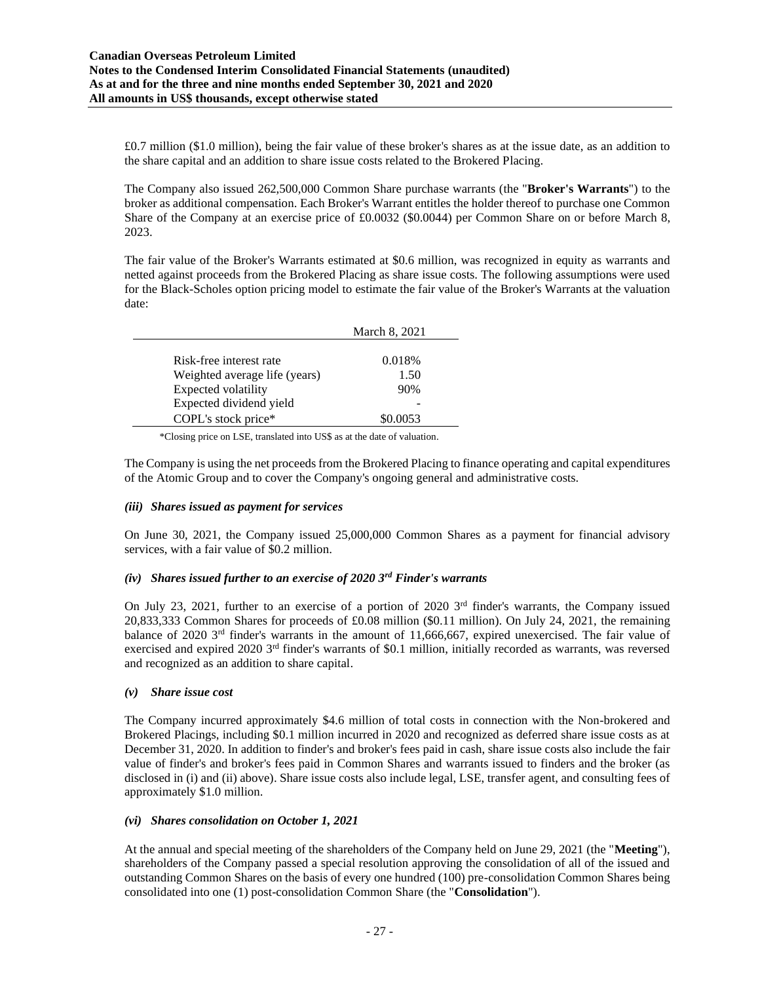£0.7 million (\$1.0 million), being the fair value of these broker's shares as at the issue date, as an addition to the share capital and an addition to share issue costs related to the Brokered Placing.

The Company also issued 262,500,000 Common Share purchase warrants (the "**Broker's Warrants**") to the broker as additional compensation. Each Broker's Warrant entitles the holder thereof to purchase one Common Share of the Company at an exercise price of £0.0032 (\$0.0044) per Common Share on or before March 8, 2023.

The fair value of the Broker's Warrants estimated at \$0.6 million, was recognized in equity as warrants and netted against proceeds from the Brokered Placing as share issue costs. The following assumptions were used for the Black-Scholes option pricing model to estimate the fair value of the Broker's Warrants at the valuation date:

|                               | March 8, 2021 |
|-------------------------------|---------------|
|                               |               |
| Risk-free interest rate       | 0.018\%       |
| Weighted average life (years) | 1.50          |
| Expected volatility           | 90%           |
| Expected dividend yield       |               |
| COPL's stock price*           | \$0.0053      |

\*Closing price on LSE, translated into US\$ as at the date of valuation.

The Company is using the net proceeds from the Brokered Placing to finance operating and capital expenditures of the Atomic Group and to cover the Company's ongoing general and administrative costs.

### *(iii) Shares issued as payment for services*

On June 30, 2021, the Company issued 25,000,000 Common Shares as a payment for financial advisory services, with a fair value of \$0.2 million.

### *(iv) Shares issued further to an exercise of 2020 3rd Finder's warrants*

On July 23, 2021, further to an exercise of a portion of 2020  $3<sup>rd</sup>$  finder's warrants, the Company issued 20,833,333 Common Shares for proceeds of £0.08 million (\$0.11 million). On July 24, 2021, the remaining balance of 2020 3rd finder's warrants in the amount of 11,666,667, expired unexercised. The fair value of exercised and expired 2020  $3<sup>rd</sup>$  finder's warrants of \$0.1 million, initially recorded as warrants, was reversed and recognized as an addition to share capital.

### *(v) Share issue cost*

The Company incurred approximately \$4.6 million of total costs in connection with the Non-brokered and Brokered Placings, including \$0.1 million incurred in 2020 and recognized as deferred share issue costs as at December 31, 2020. In addition to finder's and broker's fees paid in cash, share issue costs also include the fair value of finder's and broker's fees paid in Common Shares and warrants issued to finders and the broker (as disclosed in (i) and (ii) above). Share issue costs also include legal, LSE, transfer agent, and consulting fees of approximately \$1.0 million.

### *(vi) Shares consolidation on October 1, 2021*

At the annual and special meeting of the shareholders of the Company held on June 29, 2021 (the "**Meeting**"), shareholders of the Company passed a special resolution approving the consolidation of all of the issued and outstanding Common Shares on the basis of every one hundred (100) pre-consolidation Common Shares being consolidated into one (1) post-consolidation Common Share (the "**Consolidation**").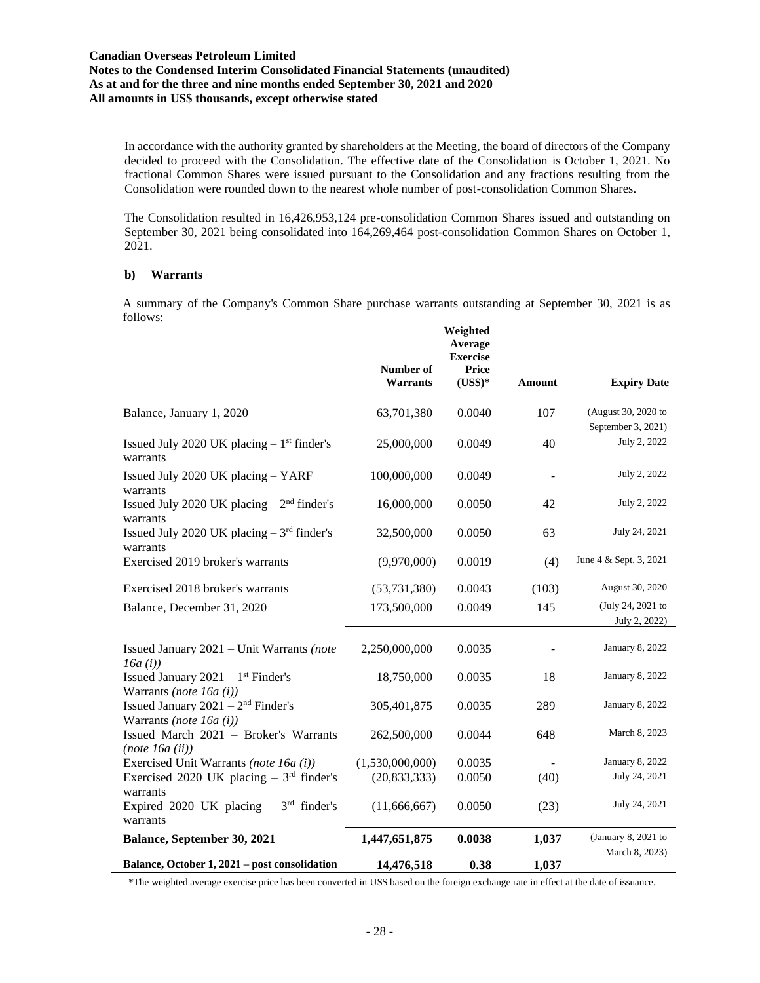In accordance with the authority granted by shareholders at the Meeting, the board of directors of the Company decided to proceed with the Consolidation. The effective date of the Consolidation is October 1, 2021. No fractional Common Shares were issued pursuant to the Consolidation and any fractions resulting from the Consolidation were rounded down to the nearest whole number of post-consolidation Common Shares.

The Consolidation resulted in 16,426,953,124 pre-consolidation Common Shares issued and outstanding on September 30, 2021 being consolidated into 164,269,464 post-consolidation Common Shares on October 1, 2021.

#### **b) Warrants**

A summary of the Company's Common Share purchase warrants outstanding at September 30, 2021 is as follows:

|                                                                                |                 | Weighted<br>Average |        |                        |
|--------------------------------------------------------------------------------|-----------------|---------------------|--------|------------------------|
|                                                                                |                 | <b>Exercise</b>     |        |                        |
|                                                                                | Number of       | Price               |        |                        |
|                                                                                | <b>Warrants</b> | $(US$)*$            | Amount | <b>Expiry Date</b>     |
| Balance, January 1, 2020                                                       | 63,701,380      | 0.0040              | 107    | (August 30, 2020 to    |
|                                                                                |                 |                     |        | September 3, 2021)     |
| Issued July 2020 UK placing $-1$ <sup>st</sup> finder's<br>warrants            | 25,000,000      | 0.0049              | 40     | July 2, 2022           |
| Issued July 2020 UK placing - YARF<br>warrants                                 | 100,000,000     | 0.0049              |        | July 2, 2022           |
| Issued July 2020 UK placing $-2nd$ finder's<br>warrants                        | 16,000,000      | 0.0050              | 42     | July 2, 2022           |
| Issued July 2020 UK placing $-3rd$ finder's<br>warrants                        | 32,500,000      | 0.0050              | 63     | July 24, 2021          |
| Exercised 2019 broker's warrants                                               | (9,970,000)     | 0.0019              | (4)    | June 4 & Sept. 3, 2021 |
| Exercised 2018 broker's warrants                                               | (53, 731, 380)  | 0.0043              | (103)  | August 30, 2020        |
| Balance, December 31, 2020                                                     | 173,500,000     | 0.0049              | 145    | (July 24, 2021 to      |
|                                                                                |                 |                     |        | July 2, 2022)          |
| Issued January $2021 -$ Unit Warrants (note<br>16a(i)                          | 2,250,000,000   | 0.0035              |        | January 8, 2022        |
| Issued January $2021 - 1$ <sup>st</sup> Finder's<br>Warrants (note 16a $(i)$ ) | 18,750,000      | 0.0035              | 18     | January 8, 2022        |
| Issued January $2021 - 2nd$ Finder's<br>Warrants (note 16a $(i)$ )             | 305,401,875     | 0.0035              | 289    | January 8, 2022        |
| Issued March 2021 - Broker's Warrants<br>(note 16a (ii))                       | 262,500,000     | 0.0044              | 648    | March 8, 2023          |
| Exercised Unit Warrants (note 16a (i))                                         | (1,530,000,000) | 0.0035              |        | January 8, 2022        |
| Exercised 2020 UK placing $-3rd$ finder's<br>warrants                          | (20, 833, 333)  | 0.0050              | (40)   | July 24, 2021          |
| Expired 2020 UK placing $-3rd$ finder's<br>warrants                            | (11,666,667)    | 0.0050              | (23)   | July 24, 2021          |
| Balance, September 30, 2021                                                    | 1,447,651,875   | 0.0038              | 1,037  | (January 8, 2021 to    |
| Balance, October 1, 2021 - post consolidation                                  | 14,476,518      | 0.38                | 1,037  | March 8, 2023)         |

\*The weighted average exercise price has been converted in US\$ based on the foreign exchange rate in effect at the date of issuance.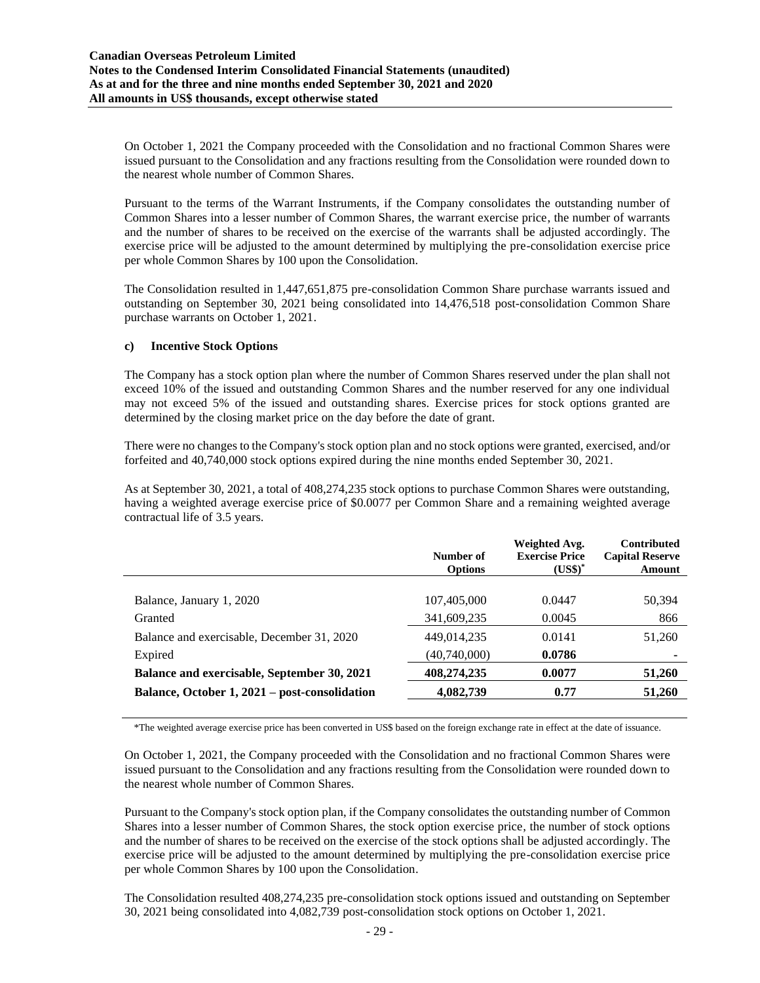On October 1, 2021 the Company proceeded with the Consolidation and no fractional Common Shares were issued pursuant to the Consolidation and any fractions resulting from the Consolidation were rounded down to the nearest whole number of Common Shares.

Pursuant to the terms of the Warrant Instruments, if the Company consolidates the outstanding number of Common Shares into a lesser number of Common Shares, the warrant exercise price, the number of warrants and the number of shares to be received on the exercise of the warrants shall be adjusted accordingly. The exercise price will be adjusted to the amount determined by multiplying the pre-consolidation exercise price per whole Common Shares by 100 upon the Consolidation.

The Consolidation resulted in 1,447,651,875 pre-consolidation Common Share purchase warrants issued and outstanding on September 30, 2021 being consolidated into 14,476,518 post-consolidation Common Share purchase warrants on October 1, 2021.

### **c) Incentive Stock Options**

The Company has a stock option plan where the number of Common Shares reserved under the plan shall not exceed 10% of the issued and outstanding Common Shares and the number reserved for any one individual may not exceed 5% of the issued and outstanding shares. Exercise prices for stock options granted are determined by the closing market price on the day before the date of grant.

There were no changes to the Company's stock option plan and no stock options were granted, exercised, and/or forfeited and 40,740,000 stock options expired during the nine months ended September 30, 2021.

As at September 30, 2021, a total of 408,274,235 stock options to purchase Common Shares were outstanding, having a weighted average exercise price of \$0.0077 per Common Share and a remaining weighted average contractual life of 3.5 years.

|                                               | Number of<br><b>Options</b> | Weighted Avg.<br><b>Exercise Price</b><br>$(US\$ <sup>*</sup> | <b>Contributed</b><br><b>Capital Reserve</b><br>Amount |
|-----------------------------------------------|-----------------------------|---------------------------------------------------------------|--------------------------------------------------------|
|                                               |                             |                                                               |                                                        |
| Balance, January 1, 2020                      | 107,405,000                 | 0.0447                                                        | 50,394                                                 |
| Granted                                       | 341,609,235                 | 0.0045                                                        | 866                                                    |
| Balance and exercisable, December 31, 2020    | 449,014,235                 | 0.0141                                                        | 51,260                                                 |
| Expired                                       | (40,740,000)                | 0.0786                                                        | ٠                                                      |
| Balance and exercisable, September 30, 2021   | 408,274,235                 | 0.0077                                                        | 51,260                                                 |
| Balance, October 1, 2021 – post-consolidation | 4,082,739                   | 0.77                                                          | 51,260                                                 |

\*The weighted average exercise price has been converted in US\$ based on the foreign exchange rate in effect at the date of issuance.

On October 1, 2021, the Company proceeded with the Consolidation and no fractional Common Shares were issued pursuant to the Consolidation and any fractions resulting from the Consolidation were rounded down to the nearest whole number of Common Shares.

Pursuant to the Company's stock option plan, if the Company consolidates the outstanding number of Common Shares into a lesser number of Common Shares, the stock option exercise price, the number of stock options and the number of shares to be received on the exercise of the stock options shall be adjusted accordingly. The exercise price will be adjusted to the amount determined by multiplying the pre-consolidation exercise price per whole Common Shares by 100 upon the Consolidation.

The Consolidation resulted 408,274,235 pre-consolidation stock options issued and outstanding on September 30, 2021 being consolidated into 4,082,739 post-consolidation stock options on October 1, 2021.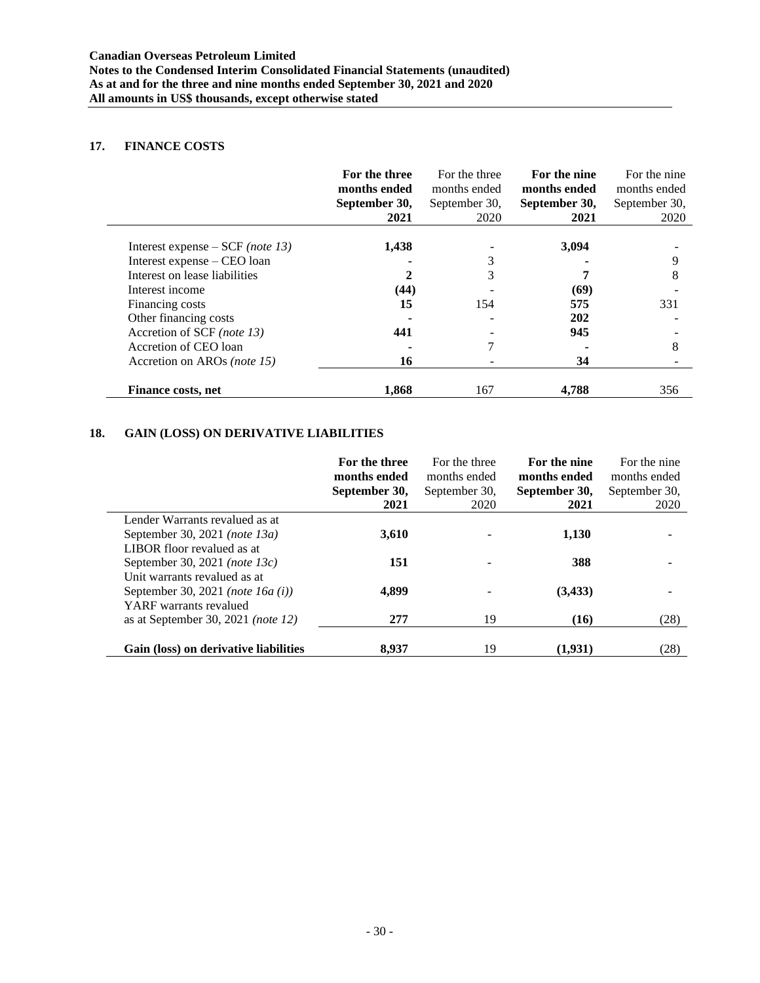### **17. FINANCE COSTS**

|                                    | For the three<br>months ended<br>September 30,<br>2021 | For the three<br>months ended<br>September 30,<br>2020 | For the nine<br>months ended<br>September 30,<br>2021 | For the nine<br>months ended<br>September 30,<br>2020 |
|------------------------------------|--------------------------------------------------------|--------------------------------------------------------|-------------------------------------------------------|-------------------------------------------------------|
| Interest expense – $SCF$ (note 13) | 1,438                                                  |                                                        | 3,094                                                 |                                                       |
| Interest expense – CEO loan        |                                                        |                                                        |                                                       | 9                                                     |
| Interest on lease liabilities      |                                                        |                                                        |                                                       | 8                                                     |
| Interest income                    | (44)                                                   |                                                        | (69)                                                  |                                                       |
| Financing costs                    | 15                                                     | 154                                                    | 575                                                   | 331                                                   |
| Other financing costs              |                                                        |                                                        | 202                                                   |                                                       |
| Accretion of SCF (note 13)         | 441                                                    |                                                        | 945                                                   |                                                       |
| Accretion of CEO loan              |                                                        |                                                        |                                                       | 8                                                     |
| Accretion on AROs (note 15)        | 16                                                     |                                                        | 34                                                    |                                                       |
| <b>Finance costs, net</b>          | 1,868                                                  | 167                                                    | 4,788                                                 | 356                                                   |

### **18. GAIN (LOSS) ON DERIVATIVE LIABILITIES**

|                                                                                               | For the three<br>months ended<br>September 30, | For the three<br>months ended<br>September 30, | For the nine<br>months ended<br>September 30, | For the nine<br>months ended<br>September 30, |
|-----------------------------------------------------------------------------------------------|------------------------------------------------|------------------------------------------------|-----------------------------------------------|-----------------------------------------------|
| Lender Warrants revalued as at                                                                | 2021                                           | 2020                                           | 2021                                          | 2020                                          |
| September 30, 2021 (note 13a)<br>LIBOR floor revalued as at                                   | 3,610                                          |                                                | 1,130                                         |                                               |
| September 30, 2021 (note $13c$ )                                                              | 151                                            |                                                | 388                                           |                                               |
| Unit warrants revalued as at<br>September 30, 2021 (note $16a(i)$ )<br>YARF warrants revalued | 4,899                                          |                                                | (3, 433)                                      |                                               |
| as at September 30, 2021 ( <i>note 12</i> )                                                   | 277                                            | 19                                             | (16)                                          | (28)                                          |
| Gain (loss) on derivative liabilities                                                         | 8.937                                          | 19                                             | (1.931)                                       | (28)                                          |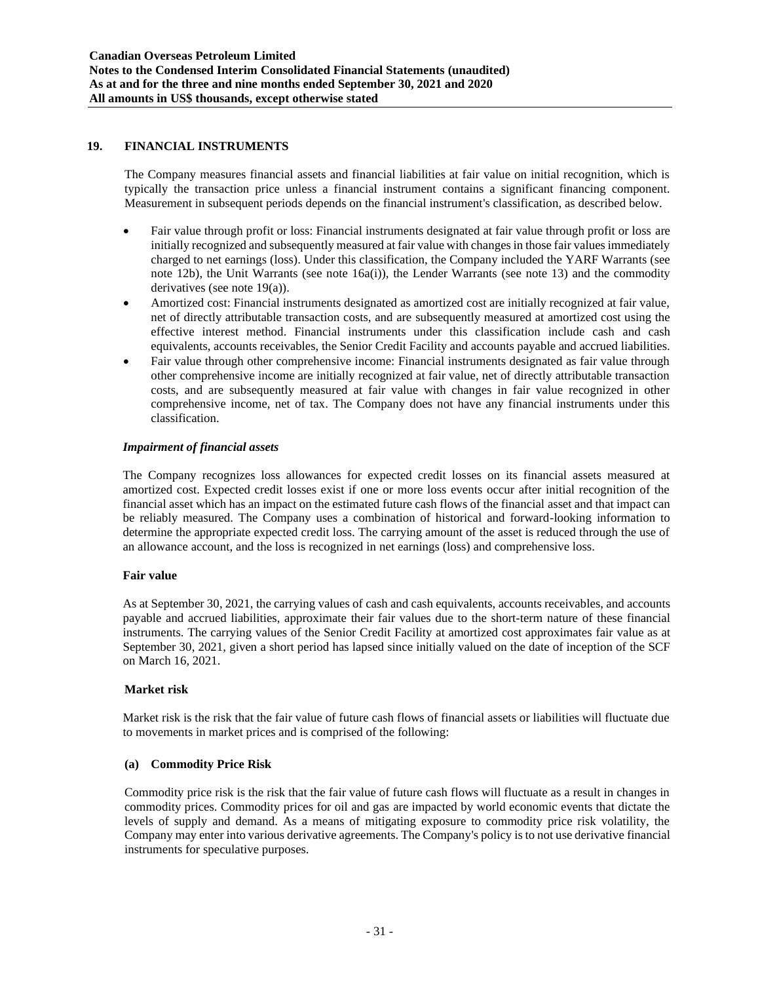### **19. FINANCIAL INSTRUMENTS**

The Company measures financial assets and financial liabilities at fair value on initial recognition, which is typically the transaction price unless a financial instrument contains a significant financing component. Measurement in subsequent periods depends on the financial instrument's classification, as described below.

- Fair value through profit or loss: Financial instruments designated at fair value through profit or loss are initially recognized and subsequently measured at fair value with changes in those fair values immediately charged to net earnings (loss). Under this classification, the Company included the YARF Warrants (see note 12b), the Unit Warrants (see note 16a(i)), the Lender Warrants (see note 13) and the commodity derivatives (see note 19(a)).
- Amortized cost: Financial instruments designated as amortized cost are initially recognized at fair value, net of directly attributable transaction costs, and are subsequently measured at amortized cost using the effective interest method. Financial instruments under this classification include cash and cash equivalents, accounts receivables, the Senior Credit Facility and accounts payable and accrued liabilities.
- Fair value through other comprehensive income: Financial instruments designated as fair value through other comprehensive income are initially recognized at fair value, net of directly attributable transaction costs, and are subsequently measured at fair value with changes in fair value recognized in other comprehensive income, net of tax. The Company does not have any financial instruments under this classification.

### *Impairment of financial assets*

The Company recognizes loss allowances for expected credit losses on its financial assets measured at amortized cost. Expected credit losses exist if one or more loss events occur after initial recognition of the financial asset which has an impact on the estimated future cash flows of the financial asset and that impact can be reliably measured. The Company uses a combination of historical and forward-looking information to determine the appropriate expected credit loss. The carrying amount of the asset is reduced through the use of an allowance account, and the loss is recognized in net earnings (loss) and comprehensive loss.

#### **Fair value**

As at September 30, 2021, the carrying values of cash and cash equivalents, accounts receivables, and accounts payable and accrued liabilities, approximate their fair values due to the short-term nature of these financial instruments. The carrying values of the Senior Credit Facility at amortized cost approximates fair value as at September 30, 2021, given a short period has lapsed since initially valued on the date of inception of the SCF on March 16, 2021.

### **Market risk**

Market risk is the risk that the fair value of future cash flows of financial assets or liabilities will fluctuate due to movements in market prices and is comprised of the following:

#### **(a) Commodity Price Risk**

Commodity price risk is the risk that the fair value of future cash flows will fluctuate as a result in changes in commodity prices. Commodity prices for oil and gas are impacted by world economic events that dictate the levels of supply and demand. As a means of mitigating exposure to commodity price risk volatility, the Company may enter into various derivative agreements. The Company's policy is to not use derivative financial instruments for speculative purposes.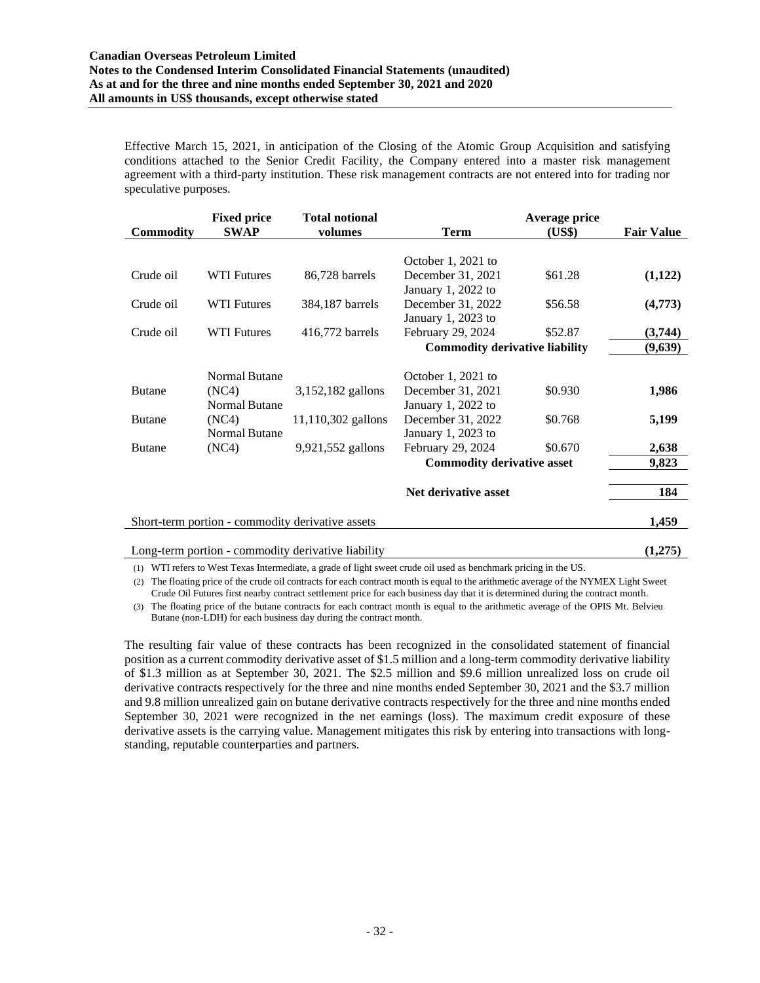#### **Canadian Overseas Petroleum Limited Notes to the Condensed Interim Consolidated Financial Statements (unaudited) As at and for the three and nine months ended September 30, 2021 and 2020 All amounts in US\$ thousands, except otherwise stated**

Effective March 15, 2021, in anticipation of the Closing of the Atomic Group Acquisition and satisfying conditions attached to the Senior Credit Facility, the Company entered into a master risk management agreement with a third-party institution. These risk management contracts are not entered into for trading nor speculative purposes.

|                  | <b>Fixed price</b>            | <b>Total notional</b>                              |                                         | Average price |                   |
|------------------|-------------------------------|----------------------------------------------------|-----------------------------------------|---------------|-------------------|
| <b>Commodity</b> | <b>SWAP</b>                   | volumes                                            | <b>Term</b>                             | (US\$)        | <b>Fair Value</b> |
|                  |                               |                                                    | October 1, 2021 to                      |               |                   |
| Crude oil        | <b>WTI Futures</b>            | 86,728 barrels                                     | December 31, 2021                       | \$61.28       | (1,122)           |
| Crude oil        | <b>WTI Futures</b>            | 384,187 barrels                                    | January 1, 2022 to<br>December 31, 2022 | \$56.58       | (4,773)           |
| Crude oil        | <b>WTI Futures</b>            | 416,772 barrels                                    | January 1, 2023 to<br>February 29, 2024 | \$52.87       | (3,744)           |
|                  |                               |                                                    | <b>Commodity derivative liability</b>   |               | (9,639)           |
|                  |                               |                                                    |                                         |               |                   |
|                  | <b>Normal Butane</b>          |                                                    | October 1, 2021 to                      |               |                   |
| <b>Butane</b>    | (NC4)                         | 3,152,182 gallons                                  | December 31, 2021                       | \$0.930       | 1,986             |
|                  | <b>Normal Butane</b>          |                                                    | January 1, 2022 to                      |               |                   |
| <b>Butane</b>    | (NC4)<br><b>Normal Butane</b> | 11,110,302 gallons                                 | December 31, 2022<br>January 1, 2023 to | \$0.768       | 5,199             |
| <b>Butane</b>    | (NC4)                         | 9,921,552 gallons                                  | February 29, 2024                       | \$0.670       | 2,638             |
|                  |                               |                                                    | <b>Commodity derivative asset</b>       |               | 9,823             |
|                  |                               |                                                    | Net derivative asset                    |               | 184               |
|                  |                               | Short-term portion - commodity derivative assets   |                                         |               | 1,459             |
|                  |                               | Long-term portion - commodity derivative liability |                                         |               | (1,275)           |

(1) WTI refers to West Texas Intermediate, a grade of light sweet crude oil used as benchmark pricing in the US.

(2) The floating price of the crude oil contracts for each contract month is equal to the arithmetic average of the NYMEX Light Sweet Crude Oil Futures first nearby contract settlement price for each business day that it is determined during the contract month.

(3) The floating price of the butane contracts for each contract month is equal to the arithmetic average of the OPIS Mt. Belvieu Butane (non-LDH) for each business day during the contract month.

The resulting fair value of these contracts has been recognized in the consolidated statement of financial position as a current commodity derivative asset of \$1.5 million and a long-term commodity derivative liability of \$1.3 million as at September 30, 2021. The \$2.5 million and \$9.6 million unrealized loss on crude oil derivative contracts respectively for the three and nine months ended September 30, 2021 and the \$3.7 million and 9.8 million unrealized gain on butane derivative contracts respectively for the three and nine months ended September 30, 2021 were recognized in the net earnings (loss). The maximum credit exposure of these derivative assets is the carrying value. Management mitigates this risk by entering into transactions with longstanding, reputable counterparties and partners.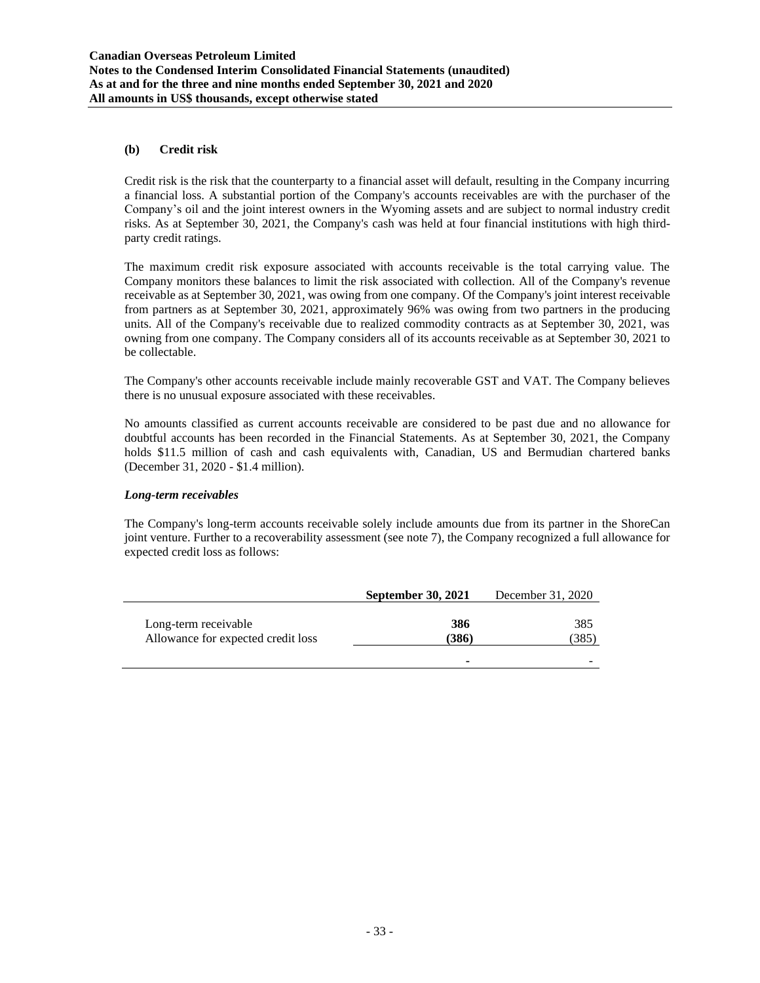### **(b) Credit risk**

Credit risk is the risk that the counterparty to a financial asset will default, resulting in the Company incurring a financial loss. A substantial portion of the Company's accounts receivables are with the purchaser of the Company's oil and the joint interest owners in the Wyoming assets and are subject to normal industry credit risks. As at September 30, 2021, the Company's cash was held at four financial institutions with high thirdparty credit ratings.

The maximum credit risk exposure associated with accounts receivable is the total carrying value. The Company monitors these balances to limit the risk associated with collection. All of the Company's revenue receivable as at September 30, 2021, was owing from one company. Of the Company's joint interest receivable from partners as at September 30, 2021, approximately 96% was owing from two partners in the producing units. All of the Company's receivable due to realized commodity contracts as at September 30, 2021, was owning from one company. The Company considers all of its accounts receivable as at September 30, 2021 to be collectable.

The Company's other accounts receivable include mainly recoverable GST and VAT. The Company believes there is no unusual exposure associated with these receivables.

No amounts classified as current accounts receivable are considered to be past due and no allowance for doubtful accounts has been recorded in the Financial Statements. As at September 30, 2021, the Company holds \$11.5 million of cash and cash equivalents with, Canadian, US and Bermudian chartered banks (December 31, 2020 - \$1.4 million).

#### *Long-term receivables*

The Company's long-term accounts receivable solely include amounts due from its partner in the ShoreCan joint venture. Further to a recoverability assessment (see note 7), the Company recognized a full allowance for expected credit loss as follows:

|                                                            | <b>September 30, 2021</b> | December 31, 2020 |
|------------------------------------------------------------|---------------------------|-------------------|
| Long-term receivable<br>Allowance for expected credit loss | 386<br>(386)              | 385<br>385)       |
|                                                            | -                         |                   |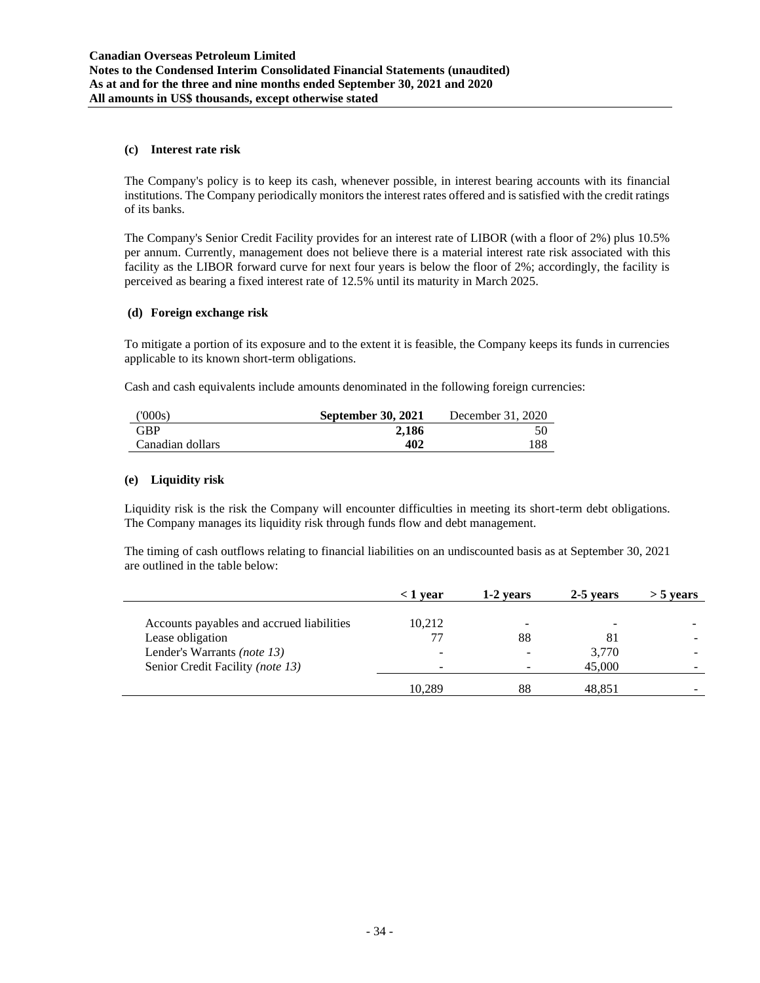### **(c) Interest rate risk**

The Company's policy is to keep its cash, whenever possible, in interest bearing accounts with its financial institutions. The Company periodically monitors the interest rates offered and is satisfied with the credit ratings of its banks.

The Company's Senior Credit Facility provides for an interest rate of LIBOR (with a floor of 2%) plus 10.5% per annum. Currently, management does not believe there is a material interest rate risk associated with this facility as the LIBOR forward curve for next four years is below the floor of 2%; accordingly, the facility is perceived as bearing a fixed interest rate of 12.5% until its maturity in March 2025.

### **(d) Foreign exchange risk**

To mitigate a portion of its exposure and to the extent it is feasible, the Company keeps its funds in currencies applicable to its known short-term obligations.

Cash and cash equivalents include amounts denominated in the following foreign currencies:

| (000s)           | <b>September 30, 2021</b> | December 31, 2020 |
|------------------|---------------------------|-------------------|
| <b>GBP</b>       | 2.186                     |                   |
| Canadian dollars | 402                       | 188               |

### **(e) Liquidity risk**

Liquidity risk is the risk the Company will encounter difficulties in meeting its short-term debt obligations. The Company manages its liquidity risk through funds flow and debt management.

The timing of cash outflows relating to financial liabilities on an undiscounted basis as at September 30, 2021 are outlined in the table below:

|                                           | $\langle 1 \rangle$ vear | 1-2 years | 2-5 years | $>$ 5 vears |
|-------------------------------------------|--------------------------|-----------|-----------|-------------|
|                                           |                          |           |           |             |
| Accounts payables and accrued liabilities | 10,212                   |           |           |             |
| Lease obligation                          | 77                       | 88        | 81        |             |
| Lender's Warrants (note 13)               | -                        |           | 3,770     |             |
| Senior Credit Facility (note 13)          |                          |           | 45,000    |             |
|                                           | 10,289                   | 88        | 48,851    |             |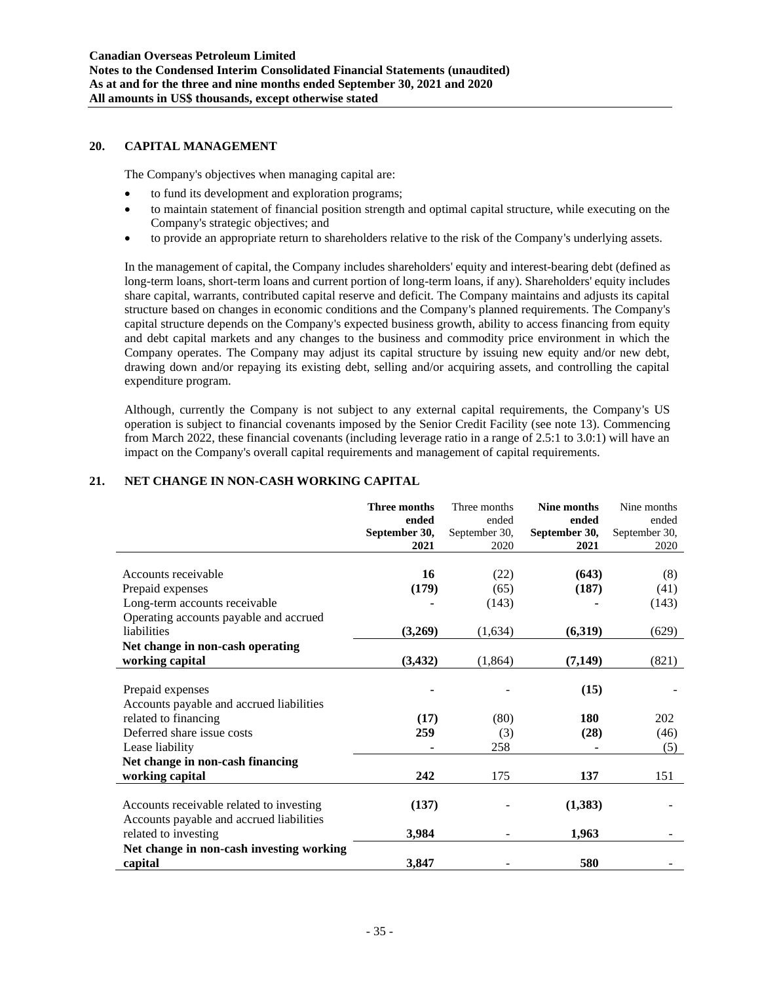### **20. CAPITAL MANAGEMENT**

The Company's objectives when managing capital are:

- to fund its development and exploration programs;
- to maintain statement of financial position strength and optimal capital structure, while executing on the Company's strategic objectives; and
- to provide an appropriate return to shareholders relative to the risk of the Company's underlying assets.

In the management of capital, the Company includes shareholders' equity and interest-bearing debt (defined as long-term loans, short-term loans and current portion of long-term loans, if any). Shareholders' equity includes share capital, warrants, contributed capital reserve and deficit. The Company maintains and adjusts its capital structure based on changes in economic conditions and the Company's planned requirements. The Company's capital structure depends on the Company's expected business growth, ability to access financing from equity and debt capital markets and any changes to the business and commodity price environment in which the Company operates. The Company may adjust its capital structure by issuing new equity and/or new debt, drawing down and/or repaying its existing debt, selling and/or acquiring assets, and controlling the capital expenditure program.

Although, currently the Company is not subject to any external capital requirements, the Company's US operation is subject to financial covenants imposed by the Senior Credit Facility (see note 13). Commencing from March 2022, these financial covenants (including leverage ratio in a range of 2.5:1 to 3.0:1) will have an impact on the Company's overall capital requirements and management of capital requirements.

### **21. NET CHANGE IN NON-CASH WORKING CAPITAL**

|                                          | <b>Three months</b><br>ended | Three months<br>ended | <b>Nine months</b><br>ended | Nine months<br>ended |
|------------------------------------------|------------------------------|-----------------------|-----------------------------|----------------------|
|                                          | September 30,                | September 30,         | September 30,               | September 30,        |
|                                          | 2021                         | 2020                  | 2021                        | 2020                 |
|                                          |                              |                       |                             |                      |
| Accounts receivable                      | 16                           | (22)                  | (643)                       | (8)                  |
| Prepaid expenses                         | (179)                        | (65)                  | (187)                       | (41)                 |
| Long-term accounts receivable            |                              | (143)                 |                             | (143)                |
| Operating accounts payable and accrued   |                              |                       |                             |                      |
| liabilities                              | (3,269)                      | (1,634)               | (6,319)                     | (629)                |
| Net change in non-cash operating         |                              |                       |                             |                      |
| working capital                          | (3, 432)                     | (1, 864)              | (7, 149)                    | (821)                |
|                                          |                              |                       |                             |                      |
| Prepaid expenses                         |                              |                       | (15)                        |                      |
| Accounts payable and accrued liabilities |                              |                       |                             |                      |
| related to financing                     | (17)                         | (80)                  | <b>180</b>                  | 202                  |
| Deferred share issue costs               | 259                          | (3)                   | (28)                        | (46)                 |
| Lease liability                          |                              | 258                   |                             | (5)                  |
| Net change in non-cash financing         |                              |                       |                             |                      |
| working capital                          | 242                          | 175                   | 137                         | 151                  |
|                                          |                              |                       |                             |                      |
| Accounts receivable related to investing | (137)                        |                       | (1,383)                     |                      |
| Accounts payable and accrued liabilities |                              |                       |                             |                      |
| related to investing                     | 3,984                        |                       | 1,963                       |                      |
| Net change in non-cash investing working |                              |                       |                             |                      |
| capital                                  | 3,847                        |                       | 580                         |                      |